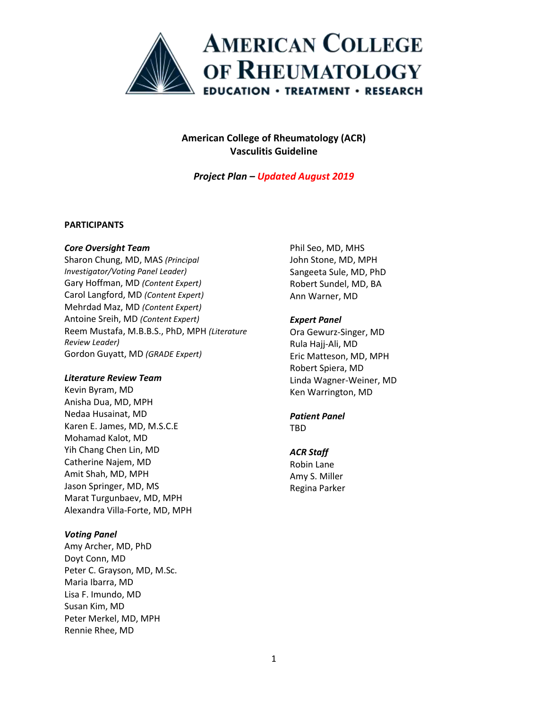

*Project Plan – Updated August 2019*

#### **PARTICIPANTS**

#### *Core Oversight Team*

Sharon Chung, MD, MAS *(Principal Investigator/Voting Panel Leader)* Gary Hoffman, MD *(Content Expert)* Carol Langford, MD *(Content Expert)* Mehrdad Maz, MD *(Content Expert)* Antoine Sreih, MD *(Content Expert)* Reem Mustafa, M.B.B.S., PhD, MPH *(Literature Review Leader)* Gordon Guyatt, MD *(GRADE Expert)*

#### *Literature Review Team*

Kevin Byram, MD Anisha Dua, MD, MPH Nedaa Husainat, MD Karen E. James, MD, M.S.C.E Mohamad Kalot, MD Yih Chang Chen Lin, MD Catherine Najem, MD Amit Shah, MD, MPH Jason Springer, MD, MS Marat Turgunbaev, MD, MPH Alexandra Villa-Forte, MD, MPH

#### *Voting Panel*

Amy Archer, MD, PhD Doyt Conn, MD Peter C. Grayson, MD, M.Sc. Maria Ibarra, MD Lisa F. Imundo, MD Susan Kim, MD Peter Merkel, MD, MPH Rennie Rhee, MD

Phil Seo, MD, MHS John Stone, MD, MPH Sangeeta Sule, MD, PhD Robert Sundel, MD, BA Ann Warner, MD

#### *Expert Panel*

Ora Gewurz-Singer, MD Rula Hajj-Ali, MD Eric Matteson, MD, MPH Robert Spiera, MD Linda Wagner-Weiner, MD Ken Warrington, MD

#### *Patient Panel* TBD

#### *ACR Staff*

Robin Lane Amy S. Miller Regina Parker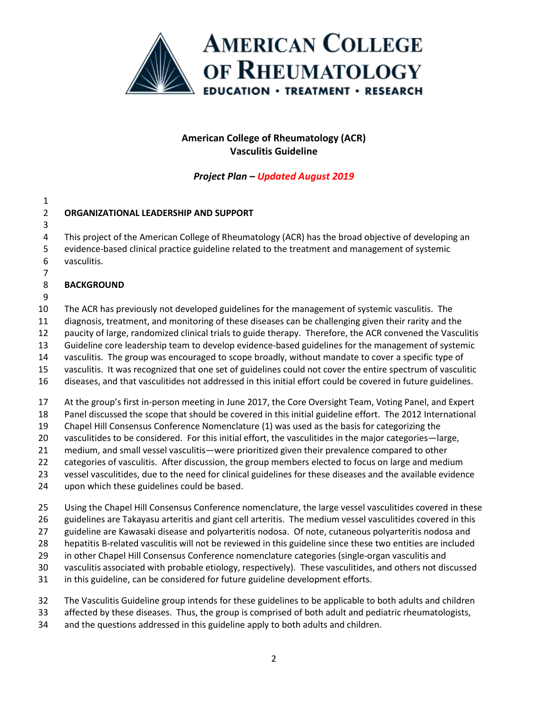

*Project Plan – Updated August 2019*

| 2 | ORGANIZATIONAL LEADERSHIP AND SUPPORT |
|---|---------------------------------------|
|   |                                       |

 This project of the American College of Rheumatology (ACR) has the broad objective of developing an

- evidence-based clinical practice guideline related to the treatment and management of systemic vasculitis.
- **BACKGROUND**
- 

The ACR has previously not developed guidelines for the management of systemic vasculitis. The

diagnosis, treatment, and monitoring of these diseases can be challenging given their rarity and the

paucity of large, randomized clinical trials to guide therapy. Therefore, the ACR convened the Vasculitis

Guideline core leadership team to develop evidence-based guidelines for the management of systemic

vasculitis. The group was encouraged to scope broadly, without mandate to cover a specific type of

vasculitis. It was recognized that one set of guidelines could not cover the entire spectrum of vasculitic

diseases, and that vasculitides not addressed in this initial effort could be covered in future guidelines.

At the group's first in-person meeting in June 2017, the Core Oversight Team, Voting Panel, and Expert

Panel discussed the scope that should be covered in this initial guideline effort. The 2012 International

Chapel Hill Consensus Conference Nomenclature (1) was used as the basis for categorizing the

vasculitides to be considered. For this initial effort, the vasculitides in the major categories—large,

medium, and small vessel vasculitis—were prioritized given their prevalence compared to other

categories of vasculitis. After discussion, the group members elected to focus on large and medium

vessel vasculitides, due to the need for clinical guidelines for these diseases and the available evidence

upon which these guidelines could be based.

Using the Chapel Hill Consensus Conference nomenclature, the large vessel vasculitides covered in these

guidelines are Takayasu arteritis and giant cell arteritis. The medium vessel vasculitides covered in this

guideline are Kawasaki disease and polyarteritis nodosa. Of note, cutaneous polyarteritis nodosa and

hepatitis B-related vasculitis will not be reviewed in this guideline since these two entities are included

in other Chapel Hill Consensus Conference nomenclature categories (single-organ vasculitis and

vasculitis associated with probable etiology, respectively). These vasculitides, and others not discussed

in this guideline, can be considered for future guideline development efforts.

The Vasculitis Guideline group intends for these guidelines to be applicable to both adults and children

affected by these diseases. Thus, the group is comprised of both adult and pediatric rheumatologists,

and the questions addressed in this guideline apply to both adults and children.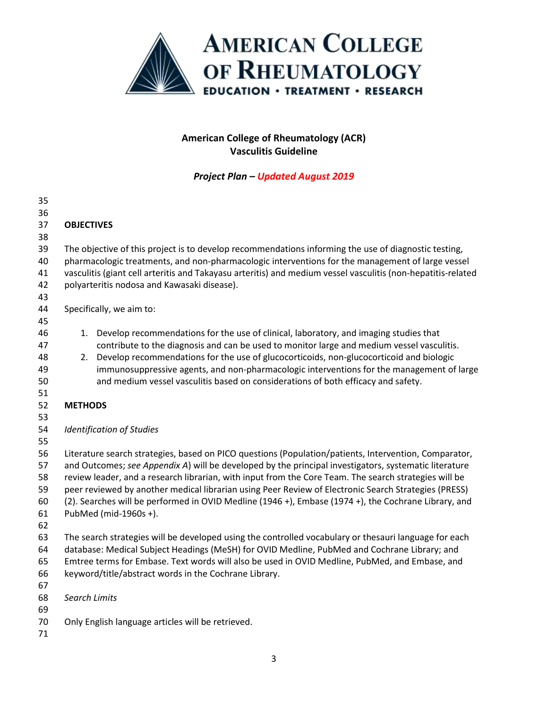

| 35       |                                                                                                                                                                                                               |                                                                                                              |  |  |
|----------|---------------------------------------------------------------------------------------------------------------------------------------------------------------------------------------------------------------|--------------------------------------------------------------------------------------------------------------|--|--|
| 36       |                                                                                                                                                                                                               |                                                                                                              |  |  |
| 37       | <b>OBJECTIVES</b>                                                                                                                                                                                             |                                                                                                              |  |  |
| 38       |                                                                                                                                                                                                               |                                                                                                              |  |  |
| 39       |                                                                                                                                                                                                               | The objective of this project is to develop recommendations informing the use of diagnostic testing,         |  |  |
| 40       |                                                                                                                                                                                                               | pharmacologic treatments, and non-pharmacologic interventions for the management of large vessel             |  |  |
| 41       |                                                                                                                                                                                                               | vasculitis (giant cell arteritis and Takayasu arteritis) and medium vessel vasculitis (non-hepatitis-related |  |  |
| 42       |                                                                                                                                                                                                               | polyarteritis nodosa and Kawasaki disease).                                                                  |  |  |
| 43<br>44 |                                                                                                                                                                                                               | Specifically, we aim to:                                                                                     |  |  |
| 45       |                                                                                                                                                                                                               |                                                                                                              |  |  |
| 46       |                                                                                                                                                                                                               | 1. Develop recommendations for the use of clinical, laboratory, and imaging studies that                     |  |  |
| 47       |                                                                                                                                                                                                               | contribute to the diagnosis and can be used to monitor large and medium vessel vasculitis.                   |  |  |
| 48       | 2.                                                                                                                                                                                                            | Develop recommendations for the use of glucocorticoids, non-glucocorticoid and biologic                      |  |  |
| 49       |                                                                                                                                                                                                               | immunosuppressive agents, and non-pharmacologic interventions for the management of large                    |  |  |
| 50       |                                                                                                                                                                                                               | and medium vessel vasculitis based on considerations of both efficacy and safety.                            |  |  |
| 51       |                                                                                                                                                                                                               |                                                                                                              |  |  |
| 52       | <b>METHODS</b>                                                                                                                                                                                                |                                                                                                              |  |  |
| 53       |                                                                                                                                                                                                               |                                                                                                              |  |  |
| 54       |                                                                                                                                                                                                               | <b>Identification of Studies</b>                                                                             |  |  |
| 55       |                                                                                                                                                                                                               |                                                                                                              |  |  |
| 56       | Literature search strategies, based on PICO questions (Population/patients, Intervention, Comparator,                                                                                                         |                                                                                                              |  |  |
| 57       | and Outcomes; see Appendix A) will be developed by the principal investigators, systematic literature                                                                                                         |                                                                                                              |  |  |
| 58<br>59 | review leader, and a research librarian, with input from the Core Team. The search strategies will be<br>peer reviewed by another medical librarian using Peer Review of Electronic Search Strategies (PRESS) |                                                                                                              |  |  |
| 60       | (2). Searches will be performed in OVID Medline (1946 +), Embase (1974 +), the Cochrane Library, and                                                                                                          |                                                                                                              |  |  |
| 61       | PubMed (mid-1960s +).                                                                                                                                                                                         |                                                                                                              |  |  |
| 62       |                                                                                                                                                                                                               |                                                                                                              |  |  |
| 63       |                                                                                                                                                                                                               | The search strategies will be developed using the controlled vocabulary or thesauri language for each        |  |  |
| 64       | database: Medical Subject Headings (MeSH) for OVID Medline, PubMed and Cochrane Library; and                                                                                                                  |                                                                                                              |  |  |
| 65       | Emtree terms for Embase. Text words will also be used in OVID Medline, PubMed, and Embase, and                                                                                                                |                                                                                                              |  |  |
| 66       |                                                                                                                                                                                                               | keyword/title/abstract words in the Cochrane Library.                                                        |  |  |
| 67       |                                                                                                                                                                                                               |                                                                                                              |  |  |
| 68       | Search Limits                                                                                                                                                                                                 |                                                                                                              |  |  |
| 69       |                                                                                                                                                                                                               |                                                                                                              |  |  |
| 70<br>71 |                                                                                                                                                                                                               | Only English language articles will be retrieved.                                                            |  |  |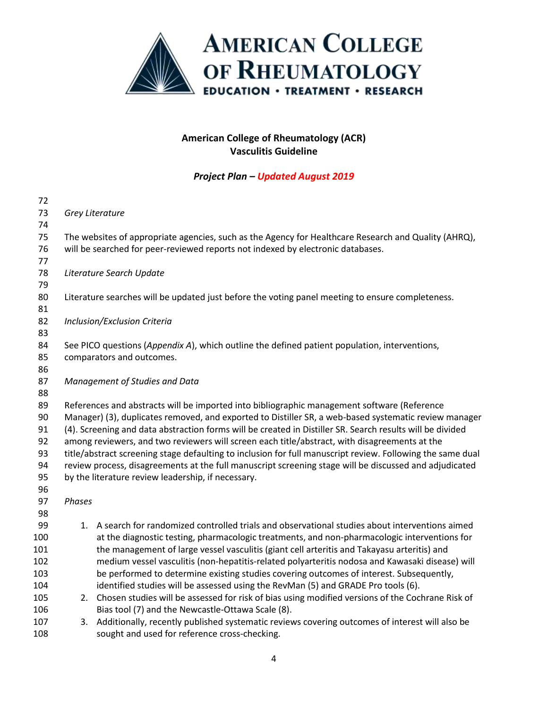

| 72  |                                                                                                            |                                                                                                      |  |  |  |  |
|-----|------------------------------------------------------------------------------------------------------------|------------------------------------------------------------------------------------------------------|--|--|--|--|
| 73  |                                                                                                            | Grey Literature                                                                                      |  |  |  |  |
| 74  |                                                                                                            |                                                                                                      |  |  |  |  |
| 75  |                                                                                                            | The websites of appropriate agencies, such as the Agency for Healthcare Research and Quality (AHRQ), |  |  |  |  |
| 76  |                                                                                                            | will be searched for peer-reviewed reports not indexed by electronic databases.                      |  |  |  |  |
| 77  |                                                                                                            |                                                                                                      |  |  |  |  |
| 78  |                                                                                                            | Literature Search Update                                                                             |  |  |  |  |
| 79  |                                                                                                            |                                                                                                      |  |  |  |  |
| 80  |                                                                                                            | Literature searches will be updated just before the voting panel meeting to ensure completeness.     |  |  |  |  |
| 81  |                                                                                                            |                                                                                                      |  |  |  |  |
| 82  |                                                                                                            | Inclusion/Exclusion Criteria                                                                         |  |  |  |  |
| 83  |                                                                                                            |                                                                                                      |  |  |  |  |
| 84  |                                                                                                            | See PICO questions (Appendix A), which outline the defined patient population, interventions,        |  |  |  |  |
| 85  |                                                                                                            | comparators and outcomes.                                                                            |  |  |  |  |
| 86  |                                                                                                            |                                                                                                      |  |  |  |  |
| 87  |                                                                                                            | Management of Studies and Data                                                                       |  |  |  |  |
| 88  |                                                                                                            |                                                                                                      |  |  |  |  |
| 89  |                                                                                                            | References and abstracts will be imported into bibliographic management software (Reference          |  |  |  |  |
| 90  | Manager) (3), duplicates removed, and exported to Distiller SR, a web-based systematic review manager      |                                                                                                      |  |  |  |  |
| 91  | (4). Screening and data abstraction forms will be created in Distiller SR. Search results will be divided  |                                                                                                      |  |  |  |  |
| 92  | among reviewers, and two reviewers will screen each title/abstract, with disagreements at the              |                                                                                                      |  |  |  |  |
| 93  | title/abstract screening stage defaulting to inclusion for full manuscript review. Following the same dual |                                                                                                      |  |  |  |  |
| 94  | review process, disagreements at the full manuscript screening stage will be discussed and adjudicated     |                                                                                                      |  |  |  |  |
| 95  | by the literature review leadership, if necessary.                                                         |                                                                                                      |  |  |  |  |
| 96  |                                                                                                            |                                                                                                      |  |  |  |  |
| 97  | Phases                                                                                                     |                                                                                                      |  |  |  |  |
| 98  |                                                                                                            |                                                                                                      |  |  |  |  |
| 99  |                                                                                                            | 1. A search for randomized controlled trials and observational studies about interventions aimed     |  |  |  |  |
| 100 |                                                                                                            | at the diagnostic testing, pharmacologic treatments, and non-pharmacologic interventions for         |  |  |  |  |
| 101 |                                                                                                            | the management of large vessel vasculitis (giant cell arteritis and Takayasu arteritis) and          |  |  |  |  |
| 102 |                                                                                                            | medium vessel vasculitis (non-hepatitis-related polyarteritis nodosa and Kawasaki disease) will      |  |  |  |  |
| 103 |                                                                                                            | be performed to determine existing studies covering outcomes of interest. Subsequently,              |  |  |  |  |
| 104 |                                                                                                            | identified studies will be assessed using the RevMan (5) and GRADE Pro tools (6).                    |  |  |  |  |
| 105 |                                                                                                            | 2. Chosen studies will be assessed for risk of bias using modified versions of the Cochrane Risk of  |  |  |  |  |
| 106 |                                                                                                            | Bias tool (7) and the Newcastle-Ottawa Scale (8).                                                    |  |  |  |  |
| 107 | 3.                                                                                                         | Additionally, recently published systematic reviews covering outcomes of interest will also be       |  |  |  |  |
| 108 |                                                                                                            | sought and used for reference cross-checking.                                                        |  |  |  |  |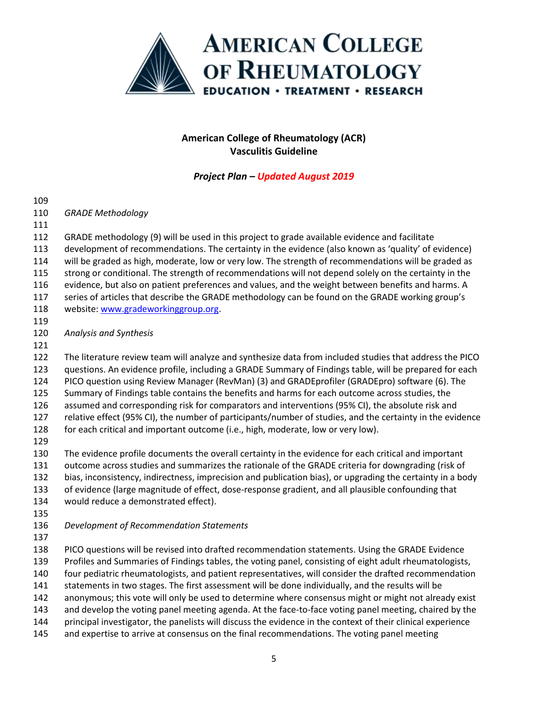

*Project Plan – Updated August 2019*

 *GRADE Methodology*  GRADE methodology (9) will be used in this project to grade available evidence and facilitate development of recommendations. The certainty in the evidence (also known as 'quality' of evidence) will be graded as high, moderate, low or very low. The strength of recommendations will be graded as strong or conditional. The strength of recommendations will not depend solely on the certainty in the evidence, but also on patient preferences and values, and the weight between benefits and harms. A series of articles that describe the GRADE methodology can be found on the GRADE working group's 118 website[: www.gradeworkinggroup.org.](http://www.gradeworkinggroup.org/) *Analysis and Synthesis*  The literature review team will analyze and synthesize data from included studies that address the PICO questions. An evidence profile, including a GRADE Summary of Findings table, will be prepared for each PICO question using Review Manager (RevMan) (3) and GRADEprofiler (GRADEpro) software (6). The Summary of Findings table contains the benefits and harms for each outcome across studies, the assumed and corresponding risk for comparators and interventions (95% CI), the absolute risk and relative effect (95% CI), the number of participants/number of studies, and the certainty in the evidence for each critical and important outcome (i.e., high, moderate, low or very low). The evidence profile documents the overall certainty in the evidence for each critical and important outcome across studies and summarizes the rationale of the GRADE criteria for downgrading (risk of bias, inconsistency, indirectness, imprecision and publication bias), or upgrading the certainty in a body of evidence (large magnitude of effect, dose-response gradient, and all plausible confounding that would reduce a demonstrated effect). *Development of Recommendation Statements*  PICO questions will be revised into drafted recommendation statements. Using the GRADE Evidence Profiles and Summaries of Findings tables, the voting panel, consisting of eight adult rheumatologists, four pediatric rheumatologists, and patient representatives, will consider the drafted recommendation statements in two stages. The first assessment will be done individually, and the results will be anonymous; this vote will only be used to determine where consensus might or might not already exist 143 and develop the voting panel meeting agenda. At the face-to-face voting panel meeting, chaired by the principal investigator, the panelists will discuss the evidence in the context of their clinical experience 145 and expertise to arrive at consensus on the final recommendations. The voting panel meeting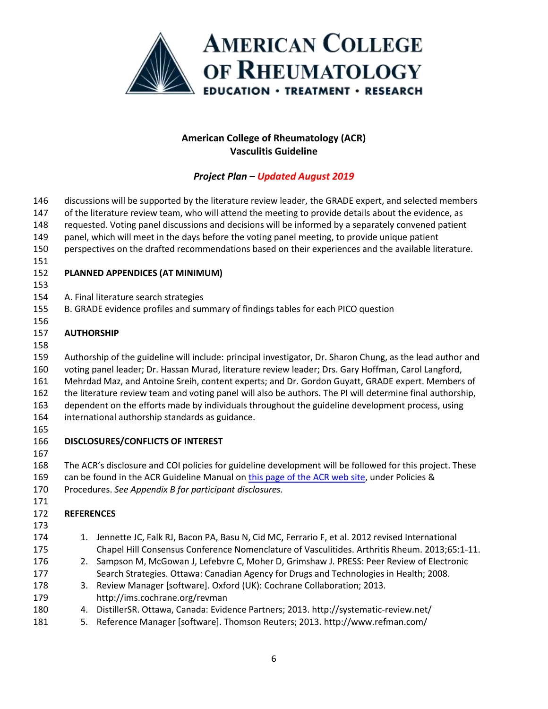

| 146        |                                                                                                      | discussions will be supported by the literature review leader, the GRADE expert, and selected members                 |  |  |  |  |
|------------|------------------------------------------------------------------------------------------------------|-----------------------------------------------------------------------------------------------------------------------|--|--|--|--|
| 147        | of the literature review team, who will attend the meeting to provide details about the evidence, as |                                                                                                                       |  |  |  |  |
| 148        | requested. Voting panel discussions and decisions will be informed by a separately convened patient  |                                                                                                                       |  |  |  |  |
| 149        | panel, which will meet in the days before the voting panel meeting, to provide unique patient        |                                                                                                                       |  |  |  |  |
| 150        |                                                                                                      | perspectives on the drafted recommendations based on their experiences and the available literature.                  |  |  |  |  |
| 151        |                                                                                                      |                                                                                                                       |  |  |  |  |
| 152        |                                                                                                      | PLANNED APPENDICES (AT MINIMUM)                                                                                       |  |  |  |  |
| 153        |                                                                                                      |                                                                                                                       |  |  |  |  |
| 154        |                                                                                                      | A. Final literature search strategies                                                                                 |  |  |  |  |
| 155        |                                                                                                      | B. GRADE evidence profiles and summary of findings tables for each PICO question                                      |  |  |  |  |
| 156        |                                                                                                      |                                                                                                                       |  |  |  |  |
| 157        | <b>AUTHORSHIP</b>                                                                                    |                                                                                                                       |  |  |  |  |
| 158<br>159 |                                                                                                      | Authorship of the guideline will include: principal investigator, Dr. Sharon Chung, as the lead author and            |  |  |  |  |
| 160        |                                                                                                      | voting panel leader; Dr. Hassan Murad, literature review leader; Drs. Gary Hoffman, Carol Langford,                   |  |  |  |  |
| 161        |                                                                                                      | Mehrdad Maz, and Antoine Sreih, content experts; and Dr. Gordon Guyatt, GRADE expert. Members of                      |  |  |  |  |
| 162        |                                                                                                      | the literature review team and voting panel will also be authors. The PI will determine final authorship,             |  |  |  |  |
| 163        | dependent on the efforts made by individuals throughout the guideline development process, using     |                                                                                                                       |  |  |  |  |
| 164        | international authorship standards as guidance.                                                      |                                                                                                                       |  |  |  |  |
| 165        |                                                                                                      |                                                                                                                       |  |  |  |  |
| 166        |                                                                                                      | DISCLOSURES/CONFLICTS OF INTEREST                                                                                     |  |  |  |  |
| 167        |                                                                                                      |                                                                                                                       |  |  |  |  |
| 168        |                                                                                                      | The ACR's disclosure and COI policies for guideline development will be followed for this project. These              |  |  |  |  |
| 169        | can be found in the ACR Guideline Manual on this page of the ACR web site, under Policies &          |                                                                                                                       |  |  |  |  |
| 170        |                                                                                                      | Procedures. See Appendix B for participant disclosures.                                                               |  |  |  |  |
| 171        |                                                                                                      |                                                                                                                       |  |  |  |  |
| 172        | <b>REFERENCES</b>                                                                                    |                                                                                                                       |  |  |  |  |
| 173        |                                                                                                      |                                                                                                                       |  |  |  |  |
| 174        | 1.                                                                                                   | Jennette JC, Falk RJ, Bacon PA, Basu N, Cid MC, Ferrario F, et al. 2012 revised International                         |  |  |  |  |
| 175        |                                                                                                      | Chapel Hill Consensus Conference Nomenclature of Vasculitides. Arthritis Rheum. 2013;65:1-11.                         |  |  |  |  |
| 176        | 2.                                                                                                   | Sampson M, McGowan J, Lefebvre C, Moher D, Grimshaw J. PRESS: Peer Review of Electronic                               |  |  |  |  |
| 177        |                                                                                                      | Search Strategies. Ottawa: Canadian Agency for Drugs and Technologies in Health; 2008.                                |  |  |  |  |
| 178        | 3.                                                                                                   | Review Manager [software]. Oxford (UK): Cochrane Collaboration; 2013.                                                 |  |  |  |  |
| 179        |                                                                                                      | http://ims.cochrane.org/revman<br>DistillerSR. Ottawa, Canada: Evidence Partners; 2013. http://systematic-review.net/ |  |  |  |  |
| 180<br>181 | 4.<br>5.                                                                                             | Reference Manager [software]. Thomson Reuters; 2013. http://www.refman.com/                                           |  |  |  |  |
|            |                                                                                                      |                                                                                                                       |  |  |  |  |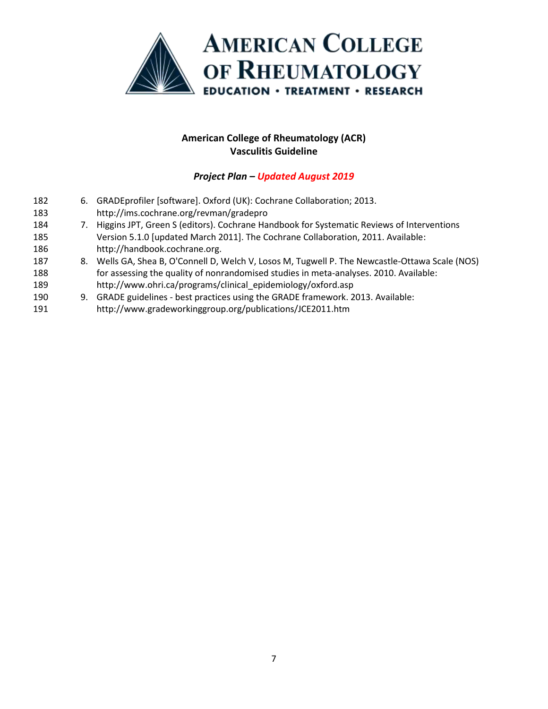

- 6. GRADEprofiler [software]. Oxford (UK): Cochrane Collaboration; 2013. http://ims.cochrane.org/revman/gradepro 7. Higgins JPT, Green S (editors). Cochrane Handbook for Systematic Reviews of Interventions Version 5.1.0 [updated March 2011]. The Cochrane Collaboration, 2011. Available:
- http://handbook.cochrane.org.
- 8. Wells GA, Shea B, O'Connell D, Welch V, Losos M, Tugwell P. The Newcastle-Ottawa Scale (NOS) for assessing the quality of nonrandomised studies in meta-analyses. 2010. Available: http://www.ohri.ca/programs/clinical\_epidemiology/oxford.asp
- 9. GRADE guidelines best practices using the GRADE framework. 2013. Available:
- http://www.gradeworkinggroup.org/publications/JCE2011.htm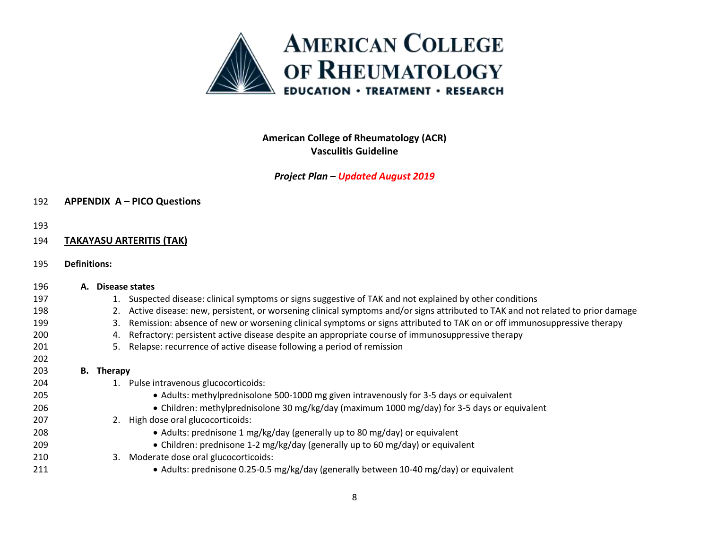

*Project Plan – Updated August 2019*

### **APPENDIX A – PICO Questions**

#### 

### **TAKAYASU ARTERITIS (TAK)**

**Definitions:**

| 196 | А. |                   | Disease states                                                                                                                 |
|-----|----|-------------------|--------------------------------------------------------------------------------------------------------------------------------|
| 197 |    |                   | Suspected disease: clinical symptoms or signs suggestive of TAK and not explained by other conditions                          |
| 198 |    |                   | Active disease: new, persistent, or worsening clinical symptoms and/or signs attributed to TAK and not related to prior damage |
| 199 |    | 3.                | Remission: absence of new or worsening clinical symptoms or signs attributed to TAK on or off immunosuppressive therapy        |
| 200 |    | 4.                | Refractory: persistent active disease despite an appropriate course of immunosuppressive therapy                               |
| 201 |    | 5.                | Relapse: recurrence of active disease following a period of remission                                                          |
| 202 |    |                   |                                                                                                                                |
| 203 |    | <b>B.</b> Therapy |                                                                                                                                |
| 204 |    |                   | Pulse intravenous glucocorticoids:                                                                                             |
| 205 |    |                   | • Adults: methylprednisolone 500-1000 mg given intravenously for 3-5 days or equivalent                                        |
| 206 |    |                   | • Children: methylprednisolone 30 mg/kg/day (maximum 1000 mg/day) for 3-5 days or equivalent                                   |
| 207 |    |                   | 2. High dose oral glucocorticoids:                                                                                             |
| 208 |    |                   | • Adults: prednisone 1 mg/kg/day (generally up to 80 mg/day) or equivalent                                                     |
| 209 |    |                   | • Children: prednisone 1-2 mg/kg/day (generally up to 60 mg/day) or equivalent                                                 |
| 210 |    |                   | 3. Moderate dose oral glucocorticoids:                                                                                         |
| 211 |    |                   | • Adults: prednisone 0.25-0.5 mg/kg/day (generally between 10-40 mg/day) or equivalent                                         |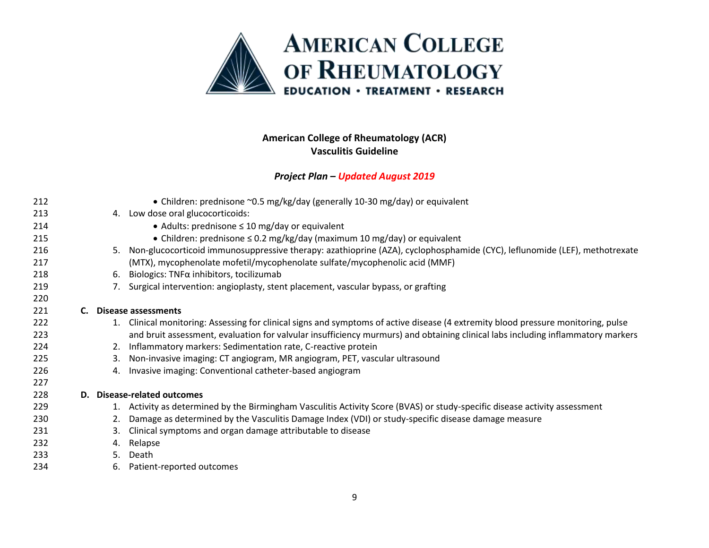

|     |    | • Children: prednisone ~0.5 mg/kg/day (generally 10-30 mg/day) or equivalent                                                    |
|-----|----|---------------------------------------------------------------------------------------------------------------------------------|
| 213 |    | 4. Low dose oral glucocorticoids:                                                                                               |
| 214 |    | • Adults: prednisone $\leq 10$ mg/day or equivalent                                                                             |
| 215 |    | • Children: prednisone $\leq$ 0.2 mg/kg/day (maximum 10 mg/day) or equivalent                                                   |
| 216 | 5. | Non-glucocorticoid immunosuppressive therapy: azathioprine (AZA), cyclophosphamide (CYC), leflunomide (LEF), methotrexate       |
| 217 |    | (MTX), mycophenolate mofetil/mycophenolate sulfate/mycophenolic acid (MMF)                                                      |
| 218 | 6. | Biologics: $TNF\alpha$ inhibitors, tocilizumab                                                                                  |
| 219 |    | Surgical intervention: angioplasty, stent placement, vascular bypass, or grafting                                               |
| 220 |    |                                                                                                                                 |
| 221 | C. | Disease assessments                                                                                                             |
| 222 |    | Clinical monitoring: Assessing for clinical signs and symptoms of active disease (4 extremity blood pressure monitoring, pulse  |
| 223 |    | and bruit assessment, evaluation for valvular insufficiency murmurs) and obtaining clinical labs including inflammatory markers |
| 224 | 2. | Inflammatory markers: Sedimentation rate, C-reactive protein                                                                    |
| 225 | 3. | Non-invasive imaging: CT angiogram, MR angiogram, PET, vascular ultrasound                                                      |
| 226 | 4. | Invasive imaging: Conventional catheter-based angiogram                                                                         |
| 227 |    |                                                                                                                                 |
| 228 | D. | <b>Disease-related outcomes</b>                                                                                                 |
| 229 | 1. | Activity as determined by the Birmingham Vasculitis Activity Score (BVAS) or study-specific disease activity assessment         |
| 230 | 2. | Damage as determined by the Vasculitis Damage Index (VDI) or study-specific disease damage measure                              |
| 231 | 3. | Clinical symptoms and organ damage attributable to disease                                                                      |
| 232 | 4. | Relapse                                                                                                                         |
| 233 | 5. | Death                                                                                                                           |
| 234 | 6. | Patient-reported outcomes                                                                                                       |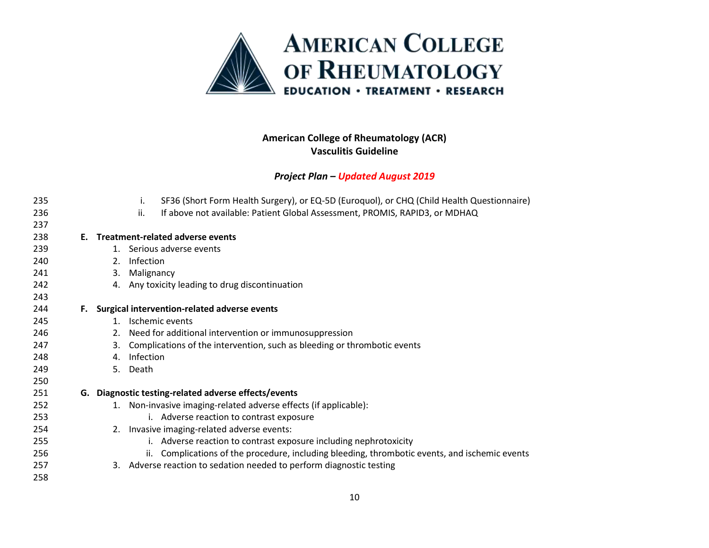

| 235 |    |    | SF36 (Short Form Health Surgery), or EQ-5D (Euroquol), or CHQ (Child Health Questionnaire)<br>İ. |
|-----|----|----|--------------------------------------------------------------------------------------------------|
| 236 |    |    | ii.<br>If above not available: Patient Global Assessment, PROMIS, RAPID3, or MDHAQ               |
| 237 |    |    |                                                                                                  |
| 238 | Е. |    | <b>Treatment-related adverse events</b>                                                          |
| 239 |    |    | 1. Serious adverse events                                                                        |
| 240 |    | 2. | Infection                                                                                        |
| 241 |    | 3. | Malignancy                                                                                       |
| 242 |    |    | 4. Any toxicity leading to drug discontinuation                                                  |
| 243 |    |    |                                                                                                  |
| 244 | F. |    | Surgical intervention-related adverse events                                                     |
| 245 |    | 1. | Ischemic events                                                                                  |
| 246 |    | 2. | Need for additional intervention or immunosuppression                                            |
| 247 |    | 3. | Complications of the intervention, such as bleeding or thrombotic events                         |
| 248 |    | 4. | Infection                                                                                        |
| 249 |    | 5. | Death                                                                                            |
| 250 |    |    |                                                                                                  |
| 251 |    |    | G. Diagnostic testing-related adverse effects/events                                             |
| 252 |    |    | 1. Non-invasive imaging-related adverse effects (if applicable):                                 |
| 253 |    |    | i. Adverse reaction to contrast exposure                                                         |
| 254 |    |    | 2. Invasive imaging-related adverse events:                                                      |
| 255 |    |    | i. Adverse reaction to contrast exposure including nephrotoxicity                                |
| 256 |    |    | ii. Complications of the procedure, including bleeding, thrombotic events, and ischemic events   |
| 257 |    |    | 3. Adverse reaction to sedation needed to perform diagnostic testing                             |
| 258 |    |    |                                                                                                  |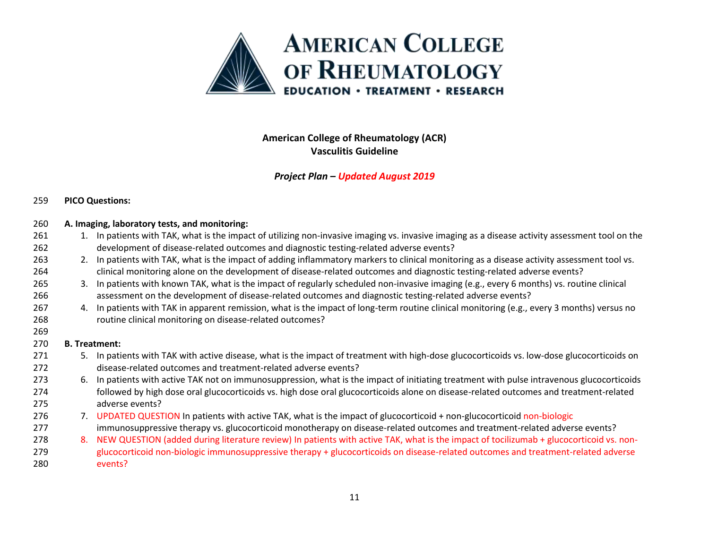

### *Project Plan – Updated August 2019*

### **PICO Questions:**

|    | 1. In patients with TAK, what is the impact of utilizing non-invasive imaging vs. invasive imaging as a disease activity assessment tool on the |  |  |
|----|-------------------------------------------------------------------------------------------------------------------------------------------------|--|--|
|    | development of disease-related outcomes and diagnostic testing-related adverse events?                                                          |  |  |
|    | 2. In patients with TAK, what is the impact of adding inflammatory markers to clinical monitoring as a disease activity assessment tool vs.     |  |  |
|    | clinical monitoring alone on the development of disease-related outcomes and diagnostic testing-related adverse events?                         |  |  |
| 3. | In patients with known TAK, what is the impact of regularly scheduled non-invasive imaging (e.g., every 6 months) vs. routine clinical          |  |  |
|    | assessment on the development of disease-related outcomes and diagnostic testing-related adverse events?                                        |  |  |
| 4. | In patients with TAK in apparent remission, what is the impact of long-term routine clinical monitoring (e.g., every 3 months) versus no        |  |  |
|    | routine clinical monitoring on disease-related outcomes?                                                                                        |  |  |
|    |                                                                                                                                                 |  |  |
|    | <b>B.</b> Treatment:                                                                                                                            |  |  |
|    | 5. In patients with TAK with active disease, what is the impact of treatment with high-dose glucocorticoids vs. low-dose glucocorticoids on     |  |  |
|    | disease-related outcomes and treatment-related adverse events?                                                                                  |  |  |
| 6. | In patients with active TAK not on immunosuppression, what is the impact of initiating treatment with pulse intravenous glucocorticoids         |  |  |
|    | followed by high dose oral glucocorticoids vs. high dose oral glucocorticoids alone on disease-related outcomes and treatment-related           |  |  |
|    | adverse events?                                                                                                                                 |  |  |
|    | 7. UPDATED QUESTION In patients with active TAK, what is the impact of glucocorticoid + non-glucocorticoid non-biologic                         |  |  |
|    | immunosuppressive therapy vs. glucocorticoid monotherapy on disease-related outcomes and treatment-related adverse events?                      |  |  |
| 8. | NEW QUESTION (added during literature review) In patients with active TAK, what is the impact of tocilizumab + glucocorticoid vs. non-          |  |  |
|    | glucocorticoid non-biologic immunosuppressive therapy + glucocorticoids on disease-related outcomes and treatment-related adverse               |  |  |
|    | events?                                                                                                                                         |  |  |
|    |                                                                                                                                                 |  |  |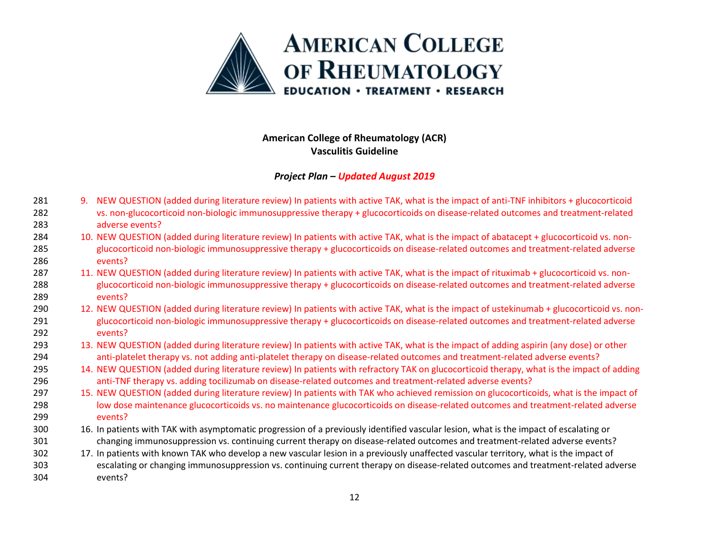

- 9. NEW QUESTION (added during literature review) In patients with active TAK, what is the impact of anti-TNF inhibitors + glucocorticoid vs. non-glucocorticoid non-biologic immunosuppressive therapy + glucocorticoids on disease-related outcomes and treatment-related adverse events?
- 10. NEW QUESTION (added during literature review) In patients with active TAK, what is the impact of abatacept + glucocorticoid vs. non- glucocorticoid non-biologic immunosuppressive therapy + glucocorticoids on disease-related outcomes and treatment-related adverse events?
- 11. NEW QUESTION (added during literature review) In patients with active TAK, what is the impact of rituximab + glucocorticoid vs. non- glucocorticoid non-biologic immunosuppressive therapy + glucocorticoids on disease-related outcomes and treatment-related adverse events?
- 290 12. NEW QUESTION (added during literature review) In patients with active TAK, what is the impact of ustekinumab + glucocorticoid vs. non- glucocorticoid non-biologic immunosuppressive therapy + glucocorticoids on disease-related outcomes and treatment-related adverse events?
- 13. NEW QUESTION (added during literature review) In patients with active TAK, what is the impact of adding aspirin (any dose) or other anti-platelet therapy vs. not adding anti-platelet therapy on disease-related outcomes and treatment-related adverse events?
- 295 14. NEW QUESTION (added during literature review) In patients with refractory TAK on glucocorticoid therapy, what is the impact of adding anti-TNF therapy vs. adding tocilizumab on disease-related outcomes and treatment-related adverse events?
- 297 15. NEW QUESTION (added during literature review) In patients with TAK who achieved remission on glucocorticoids, what is the impact of low dose maintenance glucocorticoids vs. no maintenance glucocorticoids on disease-related outcomes and treatment-related adverse events?
- 16. In patients with TAK with asymptomatic progression of a previously identified vascular lesion, what is the impact of escalating or changing immunosuppression vs. continuing current therapy on disease-related outcomes and treatment-related adverse events?
- 17. In patients with known TAK who develop a new vascular lesion in a previously unaffected vascular territory, what is the impact of escalating or changing immunosuppression vs. continuing current therapy on disease-related outcomes and treatment-related adverse events?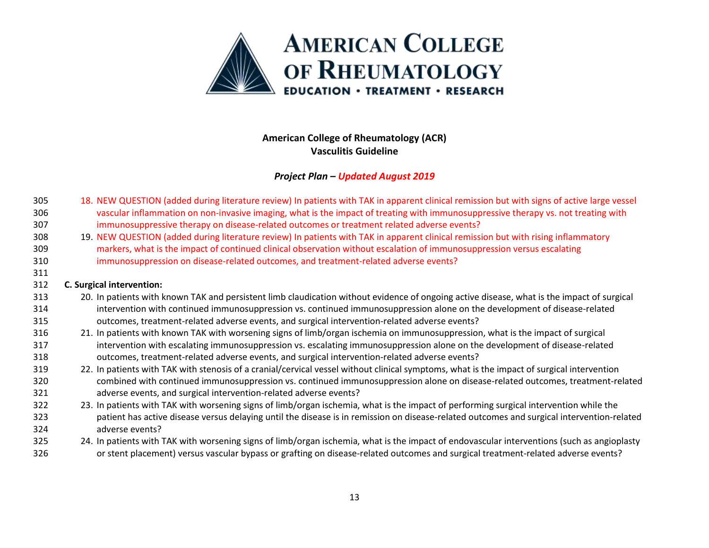

### *Project Plan – Updated August 2019*

- 18. NEW QUESTION (added during literature review) In patients with TAK in apparent clinical remission but with signs of active large vessel vascular inflammation on non-invasive imaging, what is the impact of treating with immunosuppressive therapy vs. not treating with immunosuppressive therapy on disease-related outcomes or treatment related adverse events?
- 19. NEW QUESTION (added during literature review) In patients with TAK in apparent clinical remission but with rising inflammatory markers, what is the impact of continued clinical observation without escalation of immunosuppression versus escalating immunosuppression on disease-related outcomes, and treatment-related adverse events?

#### **C. Surgical intervention:**

- 20. In patients with known TAK and persistent limb claudication without evidence of ongoing active disease, what is the impact of surgical intervention with continued immunosuppression vs. continued immunosuppression alone on the development of disease-related outcomes, treatment-related adverse events, and surgical intervention-related adverse events?
- 21. In patients with known TAK with worsening signs of limb/organ ischemia on immunosuppression, what is the impact of surgical intervention with escalating immunosuppression vs. escalating immunosuppression alone on the development of disease-related outcomes, treatment-related adverse events, and surgical intervention-related adverse events?
- 22. In patients with TAK with stenosis of a cranial/cervical vessel without clinical symptoms, what is the impact of surgical intervention combined with continued immunosuppression vs. continued immunosuppression alone on disease-related outcomes, treatment-related adverse events, and surgical intervention-related adverse events?
- 23. In patients with TAK with worsening signs of limb/organ ischemia, what is the impact of performing surgical intervention while the patient has active disease versus delaying until the disease is in remission on disease-related outcomes and surgical intervention-related adverse events?
- 24. In patients with TAK with worsening signs of limb/organ ischemia, what is the impact of endovascular interventions (such as angioplasty or stent placement) versus vascular bypass or grafting on disease-related outcomes and surgical treatment-related adverse events?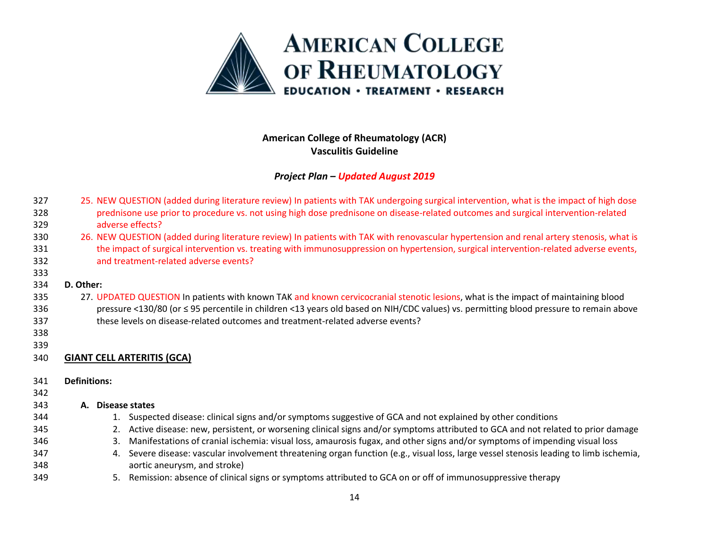

| 327 | 25. NEW QUESTION (added during literature review) In patients with TAK undergoing surgical intervention, what is the impact of high dose  |
|-----|-------------------------------------------------------------------------------------------------------------------------------------------|
| 328 | prednisone use prior to procedure vs. not using high dose prednisone on disease-related outcomes and surgical intervention-related        |
| 329 | adverse effects?                                                                                                                          |
| 330 | 26. NEW QUESTION (added during literature review) In patients with TAK with renovascular hypertension and renal artery stenosis, what is  |
| 331 | the impact of surgical intervention vs. treating with immunosuppression on hypertension, surgical intervention-related adverse events,    |
| 332 | and treatment-related adverse events?                                                                                                     |
| 333 |                                                                                                                                           |
| 334 | D. Other:                                                                                                                                 |
| 335 | 27. UPDATED QUESTION In patients with known TAK and known cervicocranial stenotic lesions, what is the impact of maintaining blood        |
| 336 | pressure <130/80 (or ≤ 95 percentile in children <13 years old based on NIH/CDC values) vs. permitting blood pressure to remain above     |
| 337 | these levels on disease-related outcomes and treatment-related adverse events?                                                            |
| 338 |                                                                                                                                           |
| 339 |                                                                                                                                           |
| 340 | <b>GIANT CELL ARTERITIS (GCA)</b>                                                                                                         |
|     |                                                                                                                                           |
| 341 | <b>Definitions:</b>                                                                                                                       |
| 342 |                                                                                                                                           |
| 343 | A. Disease states                                                                                                                         |
| 344 | 1. Suspected disease: clinical signs and/or symptoms suggestive of GCA and not explained by other conditions                              |
| 345 | Active disease: new, persistent, or worsening clinical signs and/or symptoms attributed to GCA and not related to prior damage<br>2.      |
| 346 | Manifestations of cranial ischemia: visual loss, amaurosis fugax, and other signs and/or symptoms of impending visual loss<br>3.          |
| 347 | Severe disease: vascular involvement threatening organ function (e.g., visual loss, large vessel stenosis leading to limb ischemia,<br>4. |
| 348 | aortic aneurysm, and stroke)                                                                                                              |
| 349 | Remission: absence of clinical signs or symptoms attributed to GCA on or off of immunosuppressive therapy<br>5.                           |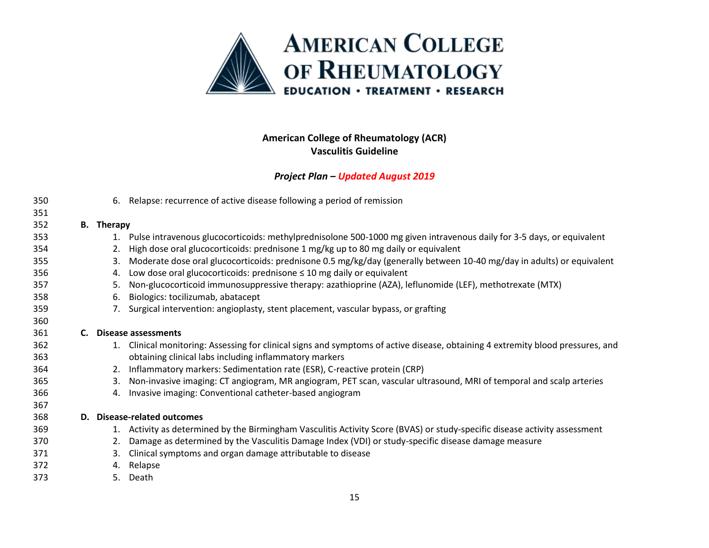

|    |    | 6. Relapse: recurrence of active disease following a period of remission                                                     |
|----|----|------------------------------------------------------------------------------------------------------------------------------|
|    |    |                                                                                                                              |
|    |    |                                                                                                                              |
|    |    | Pulse intravenous glucocorticoids: methylprednisolone 500-1000 mg given intravenous daily for 3-5 days, or equivalent        |
|    | 2. | High dose oral glucocorticoids: prednisone 1 mg/kg up to 80 mg daily or equivalent                                           |
|    | 3. | Moderate dose oral glucocorticoids: prednisone 0.5 mg/kg/day (generally between 10-40 mg/day in adults) or equivalent        |
|    |    | Low dose oral glucocorticoids: prednisone $\leq 10$ mg daily or equivalent                                                   |
|    | 5. | Non-glucocorticoid immunosuppressive therapy: azathioprine (AZA), leflunomide (LEF), methotrexate (MTX)                      |
|    | 6. | Biologics: tocilizumab, abatacept                                                                                            |
|    |    | Surgical intervention: angioplasty, stent placement, vascular bypass, or grafting                                            |
|    |    |                                                                                                                              |
| C. |    | <b>Disease assessments</b>                                                                                                   |
|    |    | Clinical monitoring: Assessing for clinical signs and symptoms of active disease, obtaining 4 extremity blood pressures, and |
|    |    | obtaining clinical labs including inflammatory markers                                                                       |
|    |    | Inflammatory markers: Sedimentation rate (ESR), C-reactive protein (CRP)                                                     |
|    | 3. | Non-invasive imaging: CT angiogram, MR angiogram, PET scan, vascular ultrasound, MRI of temporal and scalp arteries          |
|    |    | Invasive imaging: Conventional catheter-based angiogram                                                                      |
|    |    |                                                                                                                              |
|    |    | D. Disease-related outcomes                                                                                                  |
|    | 1. | Activity as determined by the Birmingham Vasculitis Activity Score (BVAS) or study-specific disease activity assessment      |
|    |    | Damage as determined by the Vasculitis Damage Index (VDI) or study-specific disease damage measure                           |
|    | 3. | Clinical symptoms and organ damage attributable to disease                                                                   |
|    |    | Relapse                                                                                                                      |
|    |    | Death                                                                                                                        |
|    |    | <b>B.</b> Therapy<br>1.<br>4.<br>7.<br>1.<br>2.<br>4.<br>2.<br>4.<br>5.                                                      |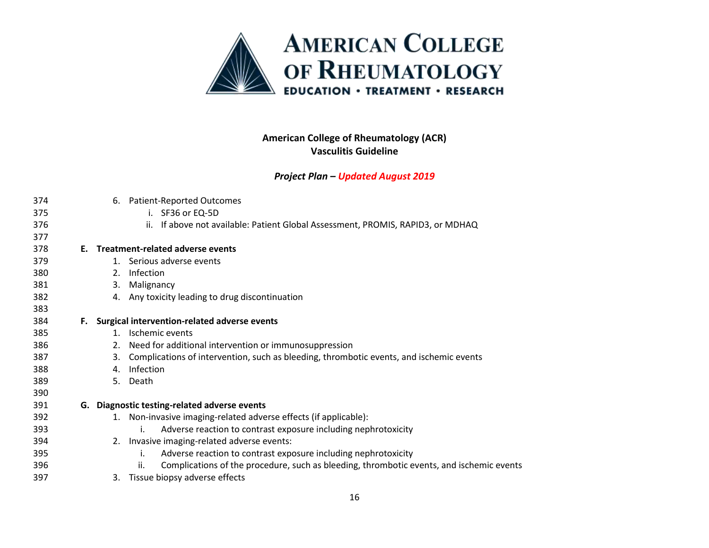

| 374 |    |    | 6. Patient-Reported Outcomes                                                                    |
|-----|----|----|-------------------------------------------------------------------------------------------------|
| 375 |    |    | i. SF36 or EQ-5D                                                                                |
| 376 |    |    | ii. If above not available: Patient Global Assessment, PROMIS, RAPID3, or MDHAQ                 |
| 377 |    |    |                                                                                                 |
| 378 |    |    | E. Treatment-related adverse events                                                             |
| 379 |    |    | 1. Serious adverse events                                                                       |
| 380 |    |    | 2. Infection                                                                                    |
| 381 |    |    | 3. Malignancy                                                                                   |
| 382 |    |    | 4. Any toxicity leading to drug discontinuation                                                 |
| 383 |    |    |                                                                                                 |
| 384 | F. |    | Surgical intervention-related adverse events                                                    |
| 385 |    |    | 1. Ischemic events                                                                              |
| 386 |    |    | 2. Need for additional intervention or immunosuppression                                        |
| 387 |    | 3. | Complications of intervention, such as bleeding, thrombotic events, and ischemic events         |
| 388 |    | 4. | Infection                                                                                       |
| 389 |    | 5. | Death                                                                                           |
| 390 |    |    |                                                                                                 |
| 391 | G. |    | Diagnostic testing-related adverse events                                                       |
| 392 |    |    | 1. Non-invasive imaging-related adverse effects (if applicable):                                |
| 393 |    |    | Adverse reaction to contrast exposure including nephrotoxicity<br>İ.                            |
| 394 |    |    | 2. Invasive imaging-related adverse events:                                                     |
| 395 |    |    | Adverse reaction to contrast exposure including nephrotoxicity<br>i.                            |
| 396 |    |    | Complications of the procedure, such as bleeding, thrombotic events, and ischemic events<br>ii. |
| 397 |    | 3. | Tissue biopsy adverse effects                                                                   |
|     |    |    |                                                                                                 |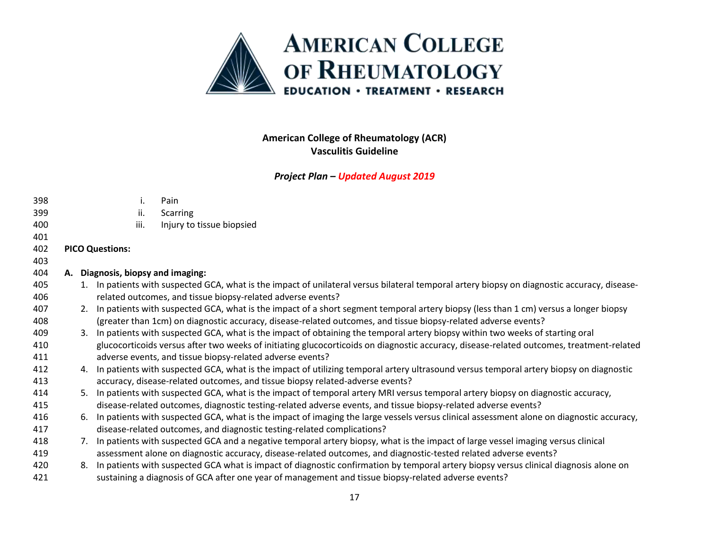

| 398 |    | i.                                | Pain                                                                                                                                         |
|-----|----|-----------------------------------|----------------------------------------------------------------------------------------------------------------------------------------------|
| 399 |    | ii.                               | <b>Scarring</b>                                                                                                                              |
| 400 |    | iii.                              | Injury to tissue biopsied                                                                                                                    |
| 401 |    |                                   |                                                                                                                                              |
| 402 |    | <b>PICO Questions:</b>            |                                                                                                                                              |
| 403 |    |                                   |                                                                                                                                              |
| 404 |    | A. Diagnosis, biopsy and imaging: |                                                                                                                                              |
| 405 |    |                                   | 1. In patients with suspected GCA, what is the impact of unilateral versus bilateral temporal artery biopsy on diagnostic accuracy, disease- |
| 406 |    |                                   | related outcomes, and tissue biopsy-related adverse events?                                                                                  |
| 407 |    |                                   | 2. In patients with suspected GCA, what is the impact of a short segment temporal artery biopsy (less than 1 cm) versus a longer biopsy      |
| 408 |    |                                   | (greater than 1cm) on diagnostic accuracy, disease-related outcomes, and tissue biopsy-related adverse events?                               |
| 409 |    |                                   | 3. In patients with suspected GCA, what is the impact of obtaining the temporal artery biopsy within two weeks of starting oral              |
| 410 |    |                                   | glucocorticoids versus after two weeks of initiating glucocorticoids on diagnostic accuracy, disease-related outcomes, treatment-related     |
| 411 |    |                                   | adverse events, and tissue biopsy-related adverse events?                                                                                    |
| 412 |    |                                   | 4. In patients with suspected GCA, what is the impact of utilizing temporal artery ultrasound versus temporal artery biopsy on diagnostic    |
| 413 |    |                                   | accuracy, disease-related outcomes, and tissue biopsy related-adverse events?                                                                |
| 414 |    |                                   | 5. In patients with suspected GCA, what is the impact of temporal artery MRI versus temporal artery biopsy on diagnostic accuracy,           |
| 415 |    |                                   | disease-related outcomes, diagnostic testing-related adverse events, and tissue biopsy-related adverse events?                               |
| 416 | 6. |                                   | In patients with suspected GCA, what is the impact of imaging the large vessels versus clinical assessment alone on diagnostic accuracy,     |
| 417 |    |                                   | disease-related outcomes, and diagnostic testing-related complications?                                                                      |
| 418 |    |                                   | 7. In patients with suspected GCA and a negative temporal artery biopsy, what is the impact of large vessel imaging versus clinical          |
| 419 |    |                                   | assessment alone on diagnostic accuracy, disease-related outcomes, and diagnostic-tested related adverse events?                             |
| 420 | 8. |                                   | In patients with suspected GCA what is impact of diagnostic confirmation by temporal artery biopsy versus clinical diagnosis alone on        |
| 421 |    |                                   | sustaining a diagnosis of GCA after one year of management and tissue biopsy-related adverse events?                                         |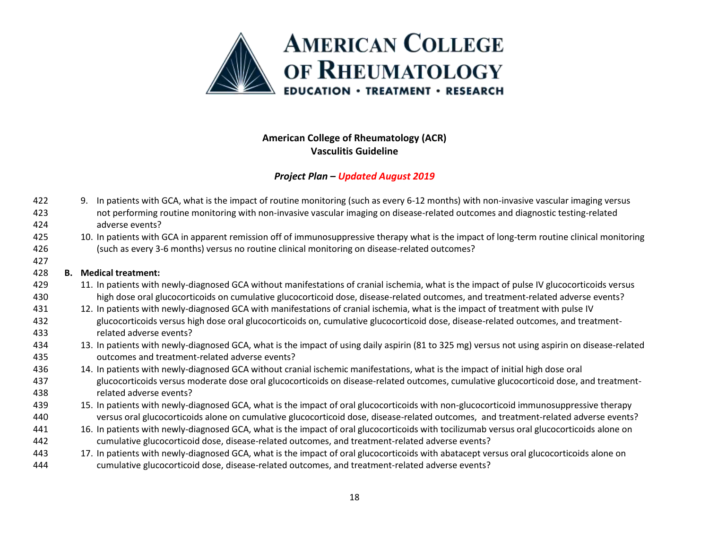

### *Project Plan – Updated August 2019*

- 9. In patients with GCA, what is the impact of routine monitoring (such as every 6-12 months) with non-invasive vascular imaging versus not performing routine monitoring with non-invasive vascular imaging on disease-related outcomes and diagnostic testing-related adverse events?
- 10. In patients with GCA in apparent remission off of immunosuppressive therapy what is the impact of long-term routine clinical monitoring (such as every 3-6 months) versus no routine clinical monitoring on disease-related outcomes?

#### **B. Medical treatment:**

- 11. In patients with newly-diagnosed GCA without manifestations of cranial ischemia, what is the impact of pulse IV glucocorticoids versus high dose oral glucocorticoids on cumulative glucocorticoid dose, disease-related outcomes, and treatment-related adverse events?
- 12. In patients with newly-diagnosed GCA with manifestations of cranial ischemia, what is the impact of treatment with pulse IV glucocorticoids versus high dose oral glucocorticoids on, cumulative glucocorticoid dose, disease-related outcomes, and treatment-related adverse events?
- 13. In patients with newly-diagnosed GCA, what is the impact of using daily aspirin (81 to 325 mg) versus not using aspirin on disease-related outcomes and treatment-related adverse events?
- 14. In patients with newly-diagnosed GCA without cranial ischemic manifestations, what is the impact of initial high dose oral glucocorticoids versus moderate dose oral glucocorticoids on disease-related outcomes, cumulative glucocorticoid dose, and treatment-related adverse events?
- 15. In patients with newly-diagnosed GCA, what is the impact of oral glucocorticoids with non-glucocorticoid immunosuppressive therapy versus oral glucocorticoids alone on cumulative glucocorticoid dose, disease-related outcomes, and treatment-related adverse events?
- 16. In patients with newly-diagnosed GCA, what is the impact of oral glucocorticoids with tocilizumab versus oral glucocorticoids alone on cumulative glucocorticoid dose, disease-related outcomes, and treatment-related adverse events?
- 17. In patients with newly-diagnosed GCA, what is the impact of oral glucocorticoids with abatacept versus oral glucocorticoids alone on cumulative glucocorticoid dose, disease-related outcomes, and treatment-related adverse events?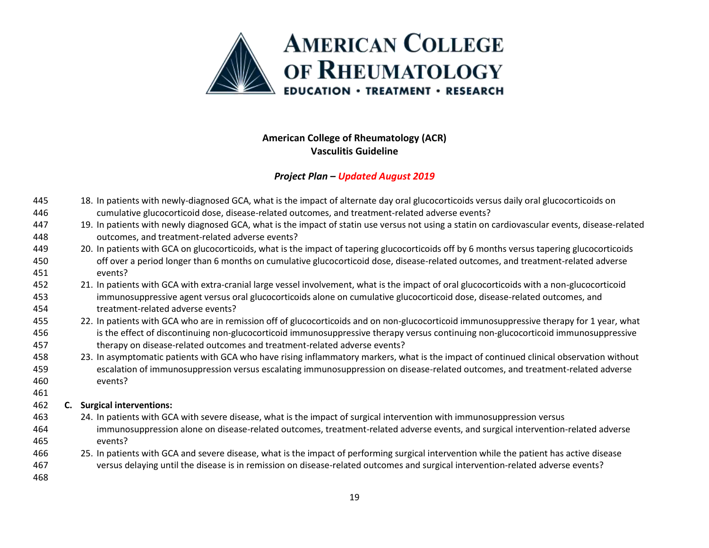

| 445 |    | 18. In patients with newly-diagnosed GCA, what is the impact of alternate day oral glucocorticoids versus daily oral glucocorticoids on        |
|-----|----|------------------------------------------------------------------------------------------------------------------------------------------------|
| 446 |    | cumulative glucocorticoid dose, disease-related outcomes, and treatment-related adverse events?                                                |
| 447 |    | 19. In patients with newly diagnosed GCA, what is the impact of statin use versus not using a statin on cardiovascular events, disease-related |
| 448 |    | outcomes, and treatment-related adverse events?                                                                                                |
| 449 |    | 20. In patients with GCA on glucocorticoids, what is the impact of tapering glucocorticoids off by 6 months versus tapering glucocorticoids    |
| 450 |    | off over a period longer than 6 months on cumulative glucocorticoid dose, disease-related outcomes, and treatment-related adverse              |
| 451 |    | events?                                                                                                                                        |
| 452 |    | 21. In patients with GCA with extra-cranial large vessel involvement, what is the impact of oral glucocorticoids with a non-glucocorticoid     |
| 453 |    | immunosuppressive agent versus oral glucocorticoids alone on cumulative glucocorticoid dose, disease-related outcomes, and                     |
| 454 |    | treatment-related adverse events?                                                                                                              |
| 455 |    | 22. In patients with GCA who are in remission off of glucocorticoids and on non-glucocorticoid immunosuppressive therapy for 1 year, what      |
| 456 |    | is the effect of discontinuing non-glucocorticoid immunosuppressive therapy versus continuing non-glucocorticoid immunosuppressive             |
| 457 |    | therapy on disease-related outcomes and treatment-related adverse events?                                                                      |
| 458 |    | 23. In asymptomatic patients with GCA who have rising inflammatory markers, what is the impact of continued clinical observation without       |
| 459 |    | escalation of immunosuppression versus escalating immunosuppression on disease-related outcomes, and treatment-related adverse                 |
| 460 |    | events?                                                                                                                                        |
| 461 |    |                                                                                                                                                |
| 462 | C. | <b>Surgical interventions:</b>                                                                                                                 |
| 463 |    | 24. In patients with GCA with severe disease, what is the impact of surgical intervention with immunosuppression versus                        |
| 464 |    | immunosuppression alone on disease-related outcomes, treatment-related adverse events, and surgical intervention-related adverse               |
| 465 |    | events?                                                                                                                                        |
| 466 |    | 25. In patients with GCA and severe disease, what is the impact of performing surgical intervention while the patient has active disease       |
| 467 |    | versus delaying until the disease is in remission on disease-related outcomes and surgical intervention-related adverse events?                |
| 468 |    |                                                                                                                                                |
|     |    |                                                                                                                                                |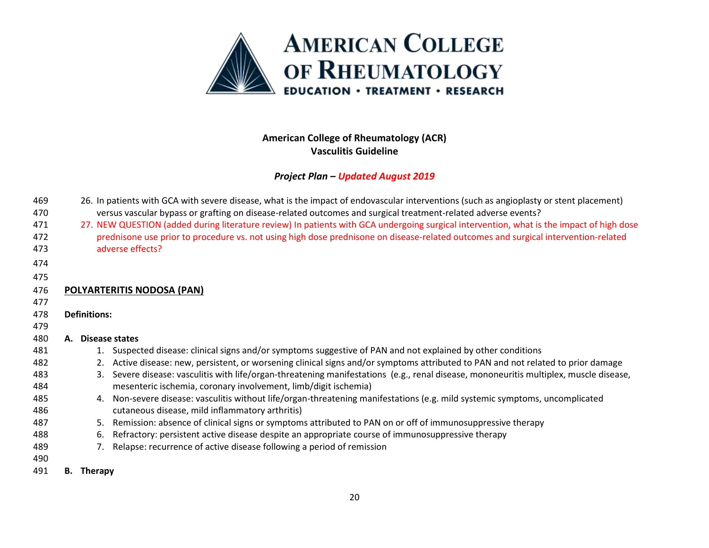

| 469 | 26. In patients with GCA with severe disease, what is the impact of endovascular interventions (such as angioplasty or stent placement)   |  |  |  |  |  |  |  |
|-----|-------------------------------------------------------------------------------------------------------------------------------------------|--|--|--|--|--|--|--|
| 470 | versus vascular bypass or grafting on disease-related outcomes and surgical treatment-related adverse events?                             |  |  |  |  |  |  |  |
| 471 | 27. NEW QUESTION (added during literature review) In patients with GCA undergoing surgical intervention, what is the impact of high dose  |  |  |  |  |  |  |  |
| 472 | prednisone use prior to procedure vs. not using high dose prednisone on disease-related outcomes and surgical intervention-related        |  |  |  |  |  |  |  |
| 473 | adverse effects?                                                                                                                          |  |  |  |  |  |  |  |
| 474 |                                                                                                                                           |  |  |  |  |  |  |  |
| 475 |                                                                                                                                           |  |  |  |  |  |  |  |
| 476 | POLYARTERITIS NODOSA (PAN)                                                                                                                |  |  |  |  |  |  |  |
| 477 |                                                                                                                                           |  |  |  |  |  |  |  |
| 478 | <b>Definitions:</b>                                                                                                                       |  |  |  |  |  |  |  |
| 479 |                                                                                                                                           |  |  |  |  |  |  |  |
| 480 | A. Disease states                                                                                                                         |  |  |  |  |  |  |  |
| 481 | 1. Suspected disease: clinical signs and/or symptoms suggestive of PAN and not explained by other conditions                              |  |  |  |  |  |  |  |
| 482 | Active disease: new, persistent, or worsening clinical signs and/or symptoms attributed to PAN and not related to prior damage<br>2.      |  |  |  |  |  |  |  |
| 483 | Severe disease: vasculitis with life/organ-threatening manifestations (e.g., renal disease, mononeuritis multiplex, muscle disease,<br>3. |  |  |  |  |  |  |  |
| 484 | mesenteric ischemia, coronary involvement, limb/digit ischemia)                                                                           |  |  |  |  |  |  |  |
| 485 | 4. Non-severe disease: vasculitis without life/organ-threatening manifestations (e.g. mild systemic symptoms, uncomplicated               |  |  |  |  |  |  |  |
| 486 | cutaneous disease, mild inflammatory arthritis)                                                                                           |  |  |  |  |  |  |  |
| 487 | Remission: absence of clinical signs or symptoms attributed to PAN on or off of immunosuppressive therapy<br>5.                           |  |  |  |  |  |  |  |
| 488 | Refractory: persistent active disease despite an appropriate course of immunosuppressive therapy<br>6.                                    |  |  |  |  |  |  |  |
| 489 | Relapse: recurrence of active disease following a period of remission                                                                     |  |  |  |  |  |  |  |
| 490 |                                                                                                                                           |  |  |  |  |  |  |  |
| 491 | <b>Therapy</b><br>В.                                                                                                                      |  |  |  |  |  |  |  |
|     |                                                                                                                                           |  |  |  |  |  |  |  |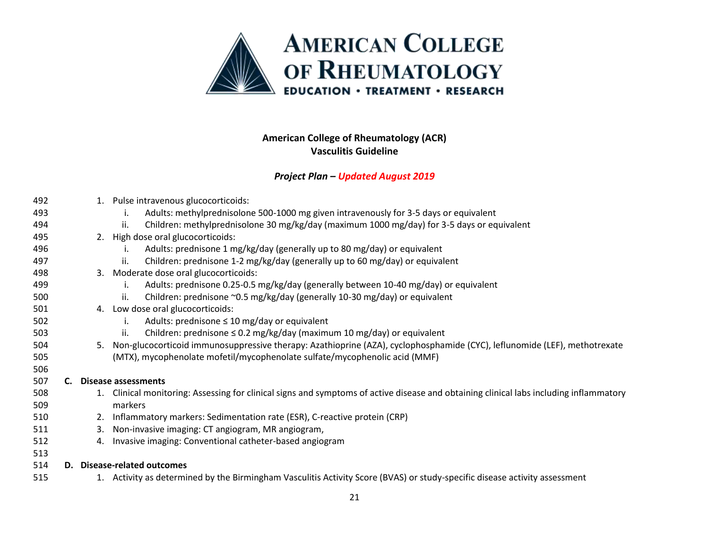

| 492 |    | 1. Pulse intravenous glucocorticoids:                                                                                               |
|-----|----|-------------------------------------------------------------------------------------------------------------------------------------|
| 493 |    | Adults: methylprednisolone 500-1000 mg given intravenously for 3-5 days or equivalent                                               |
| 494 |    | Children: methylprednisolone 30 mg/kg/day (maximum 1000 mg/day) for 3-5 days or equivalent<br>ii.                                   |
| 495 |    | 2. High dose oral glucocorticoids:                                                                                                  |
| 496 |    | Adults: prednisone 1 mg/kg/day (generally up to 80 mg/day) or equivalent                                                            |
| 497 |    | Children: prednisone 1-2 mg/kg/day (generally up to 60 mg/day) or equivalent<br>ii.                                                 |
| 498 |    | 3. Moderate dose oral glucocorticoids:                                                                                              |
| 499 |    | Adults: prednisone 0.25-0.5 mg/kg/day (generally between 10-40 mg/day) or equivalent                                                |
| 500 |    | Children: prednisone ~0.5 mg/kg/day (generally 10-30 mg/day) or equivalent<br>ii.                                                   |
| 501 |    | 4. Low dose oral glucocorticoids:                                                                                                   |
| 502 |    | Adults: prednisone $\leq 10$ mg/day or equivalent<br>İ.                                                                             |
| 503 |    | Children: prednisone $\leq$ 0.2 mg/kg/day (maximum 10 mg/day) or equivalent<br>ii.                                                  |
| 504 | 5. | Non-glucocorticoid immunosuppressive therapy: Azathioprine (AZA), cyclophosphamide (CYC), leflunomide (LEF), methotrexate           |
| 505 |    | (MTX), mycophenolate mofetil/mycophenolate sulfate/mycophenolic acid (MMF)                                                          |
| 506 |    |                                                                                                                                     |
| 507 |    | <b>Disease assessments</b>                                                                                                          |
| 508 | 1. | Clinical monitoring: Assessing for clinical signs and symptoms of active disease and obtaining clinical labs including inflammatory |
| 509 |    | markers                                                                                                                             |
| 510 | 2. | Inflammatory markers: Sedimentation rate (ESR), C-reactive protein (CRP)                                                            |
| 511 | 3. | Non-invasive imaging: CT angiogram, MR angiogram,                                                                                   |
| 512 | 4. | Invasive imaging: Conventional catheter-based angiogram                                                                             |
| 513 |    |                                                                                                                                     |
| 514 | D. | <b>Disease-related outcomes</b>                                                                                                     |
| 515 |    | 1. Activity as determined by the Birmingham Vasculitis Activity Score (BVAS) or study-specific disease activity assessment          |
|     |    |                                                                                                                                     |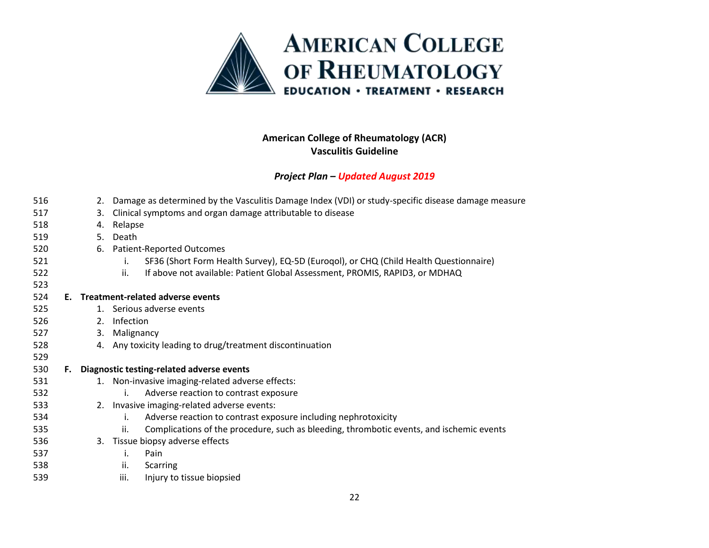

### *Project Plan – Updated August 2019*

| 516 |    |    | Damage as determined by the Vasculitis Damage Index (VDI) or study-specific disease damage measure<br>2. |  |  |  |  |  |  |
|-----|----|----|----------------------------------------------------------------------------------------------------------|--|--|--|--|--|--|
| 517 |    | 3. | Clinical symptoms and organ damage attributable to disease                                               |  |  |  |  |  |  |
| 518 |    | 4. | Relapse                                                                                                  |  |  |  |  |  |  |
| 519 |    | 5. | Death                                                                                                    |  |  |  |  |  |  |
| 520 |    | 6. | <b>Patient-Reported Outcomes</b>                                                                         |  |  |  |  |  |  |
| 521 |    |    | SF36 (Short Form Health Survey), EQ-5D (Eurogol), or CHQ (Child Health Questionnaire)<br>i.              |  |  |  |  |  |  |
| 522 |    |    | If above not available: Patient Global Assessment, PROMIS, RAPID3, or MDHAQ<br>ii.                       |  |  |  |  |  |  |
| 523 |    |    |                                                                                                          |  |  |  |  |  |  |
| 524 | Е. |    | Treatment-related adverse events                                                                         |  |  |  |  |  |  |
| 525 |    |    | 1. Serious adverse events                                                                                |  |  |  |  |  |  |
| 526 |    | 2. | Infection                                                                                                |  |  |  |  |  |  |
| 527 |    | 3. | Malignancy                                                                                               |  |  |  |  |  |  |
| 528 |    | 4. | Any toxicity leading to drug/treatment discontinuation                                                   |  |  |  |  |  |  |
| 529 |    |    |                                                                                                          |  |  |  |  |  |  |
| 530 | F. |    | Diagnostic testing-related adverse events                                                                |  |  |  |  |  |  |
| 531 |    |    | 1. Non-invasive imaging-related adverse effects:                                                         |  |  |  |  |  |  |
| 532 |    |    | Adverse reaction to contrast exposure<br>i.                                                              |  |  |  |  |  |  |
| 533 |    |    | 2. Invasive imaging-related adverse events:                                                              |  |  |  |  |  |  |
| 534 |    |    | Adverse reaction to contrast exposure including nephrotoxicity<br>i.                                     |  |  |  |  |  |  |
| 535 |    |    | Complications of the procedure, such as bleeding, thrombotic events, and ischemic events<br>ii.          |  |  |  |  |  |  |
| 536 |    | 3. | Tissue biopsy adverse effects                                                                            |  |  |  |  |  |  |
| 537 |    |    | i.<br>Pain                                                                                               |  |  |  |  |  |  |
| 538 |    |    | ii.<br>Scarring                                                                                          |  |  |  |  |  |  |

iii. Injury to tissue biopsied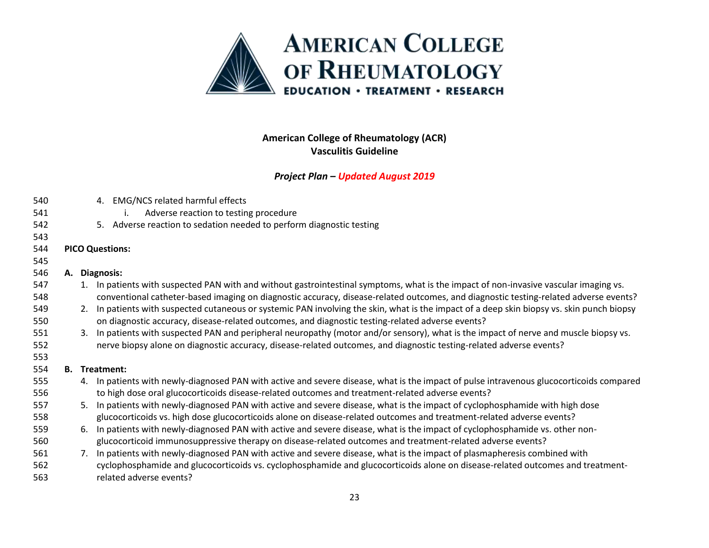

| 540 |    | 4. EMG/NCS related harmful effects                                                                                                         |
|-----|----|--------------------------------------------------------------------------------------------------------------------------------------------|
| 541 |    | Adverse reaction to testing procedure                                                                                                      |
| 542 |    | 5. Adverse reaction to sedation needed to perform diagnostic testing                                                                       |
| 543 |    |                                                                                                                                            |
| 544 |    | <b>PICO Questions:</b>                                                                                                                     |
| 545 |    |                                                                                                                                            |
| 546 |    | A. Diagnosis:                                                                                                                              |
| 547 |    | 1. In patients with suspected PAN with and without gastrointestinal symptoms, what is the impact of non-invasive vascular imaging vs.      |
| 548 |    | conventional catheter-based imaging on diagnostic accuracy, disease-related outcomes, and diagnostic testing-related adverse events?       |
| 549 |    | 2. In patients with suspected cutaneous or systemic PAN involving the skin, what is the impact of a deep skin biopsy vs. skin punch biopsy |
| 550 |    | on diagnostic accuracy, disease-related outcomes, and diagnostic testing-related adverse events?                                           |
| 551 | 3. | In patients with suspected PAN and peripheral neuropathy (motor and/or sensory), what is the impact of nerve and muscle biopsy vs.         |
| 552 |    | nerve biopsy alone on diagnostic accuracy, disease-related outcomes, and diagnostic testing-related adverse events?                        |
| 553 |    |                                                                                                                                            |
| 554 |    | <b>B.</b> Treatment:                                                                                                                       |
| 555 |    | 4. In patients with newly-diagnosed PAN with active and severe disease, what is the impact of pulse intravenous glucocorticoids compared   |
| 556 |    | to high dose oral glucocorticoids disease-related outcomes and treatment-related adverse events?                                           |
| 557 | 5. | In patients with newly-diagnosed PAN with active and severe disease, what is the impact of cyclophosphamide with high dose                 |
| 558 |    | glucocorticoids vs. high dose glucocorticoids alone on disease-related outcomes and treatment-related adverse events?                      |
| 559 | 6. | In patients with newly-diagnosed PAN with active and severe disease, what is the impact of cyclophosphamide vs. other non-                 |
| 560 |    | glucocorticoid immunosuppressive therapy on disease-related outcomes and treatment-related adverse events?                                 |
| 561 |    | 7. In patients with newly-diagnosed PAN with active and severe disease, what is the impact of plasmapheresis combined with                 |
| 562 |    | cyclophosphamide and glucocorticoids vs. cyclophosphamide and glucocorticoids alone on disease-related outcomes and treatment-             |
| 563 |    | related adverse events?                                                                                                                    |
|     |    |                                                                                                                                            |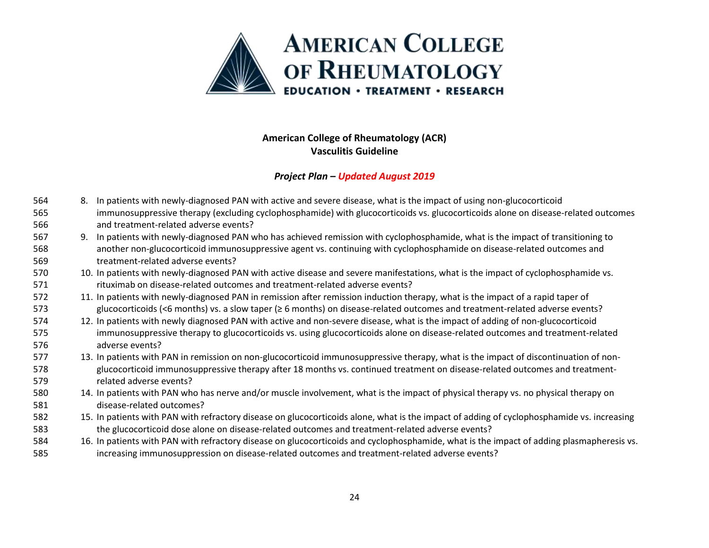

- 8. In patients with newly-diagnosed PAN with active and severe disease, what is the impact of using non-glucocorticoid immunosuppressive therapy (excluding cyclophosphamide) with glucocorticoids vs. glucocorticoids alone on disease-related outcomes and treatment-related adverse events?
- 9. In patients with newly-diagnosed PAN who has achieved remission with cyclophosphamide, what is the impact of transitioning to another non-glucocorticoid immunosuppressive agent vs. continuing with cyclophosphamide on disease-related outcomes and treatment-related adverse events?
- 10. In patients with newly-diagnosed PAN with active disease and severe manifestations, what is the impact of cyclophosphamide vs. 571 rituximab on disease-related outcomes and treatment-related adverse events?
- 11. In patients with newly-diagnosed PAN in remission after remission induction therapy, what is the impact of a rapid taper of glucocorticoids (<6 months) vs. a slow taper (≥ 6 months) on disease-related outcomes and treatment-related adverse events?
- 12. In patients with newly diagnosed PAN with active and non-severe disease, what is the impact of adding of non-glucocorticoid immunosuppressive therapy to glucocorticoids vs. using glucocorticoids alone on disease-related outcomes and treatment-related adverse events?
- 13. In patients with PAN in remission on non-glucocorticoid immunosuppressive therapy, what is the impact of discontinuation of non- glucocorticoid immunosuppressive therapy after 18 months vs. continued treatment on disease-related outcomes and treatment-related adverse events?
- 14. In patients with PAN who has nerve and/or muscle involvement, what is the impact of physical therapy vs. no physical therapy on disease-related outcomes?
- 15. In patients with PAN with refractory disease on glucocorticoids alone, what is the impact of adding of cyclophosphamide vs. increasing the glucocorticoid dose alone on disease-related outcomes and treatment-related adverse events?
- 16. In patients with PAN with refractory disease on glucocorticoids and cyclophosphamide, what is the impact of adding plasmapheresis vs. increasing immunosuppression on disease-related outcomes and treatment-related adverse events?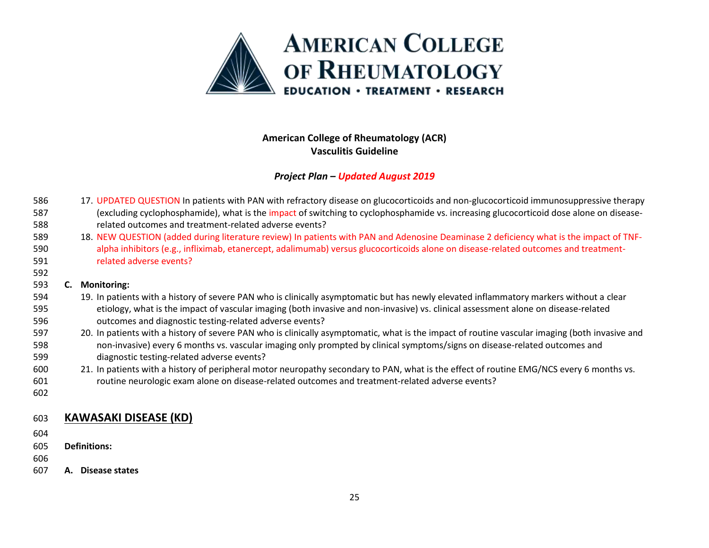

### *Project Plan – Updated August 2019*

- 586 17. UPDATED QUESTION In patients with PAN with refractory disease on glucocorticoids and non-glucocorticoid immunosuppressive therapy 587 (excluding cyclophosphamide), what is the impact of switching to cyclophosphamide vs. increasing glucocorticoid dose alone on disease-related outcomes and treatment-related adverse events?
- 18. NEW QUESTION (added during literature review) In patients with PAN and Adenosine Deaminase 2 deficiency what is the impact of TNF- alpha inhibitors (e.g., infliximab, etanercept, adalimumab) versus glucocorticoids alone on disease-related outcomes and treatment-related adverse events?

### **C. Monitoring:**

- 19. In patients with a history of severe PAN who is clinically asymptomatic but has newly elevated inflammatory markers without a clear etiology, what is the impact of vascular imaging (both invasive and non-invasive) vs. clinical assessment alone on disease-related outcomes and diagnostic testing-related adverse events?
- 20. In patients with a history of severe PAN who is clinically asymptomatic, what is the impact of routine vascular imaging (both invasive and non-invasive) every 6 months vs. vascular imaging only prompted by clinical symptoms/signs on disease-related outcomes and diagnostic testing-related adverse events?
- 21. In patients with a history of peripheral motor neuropathy secondary to PAN, what is the effect of routine EMG/NCS every 6 months vs. routine neurologic exam alone on disease-related outcomes and treatment-related adverse events?
- 

# **KAWASAKI DISEASE (KD)**

- 
- **Definitions:**
- 
- **A. Disease states**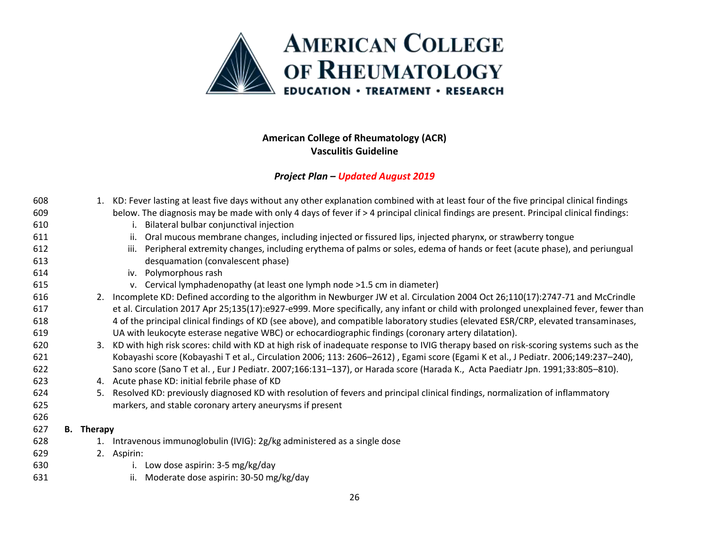

| 608 |                   | 1. KD: Fever lasting at least five days without any other explanation combined with at least four of the five principal clinical findings |  |  |  |  |  |  |
|-----|-------------------|-------------------------------------------------------------------------------------------------------------------------------------------|--|--|--|--|--|--|
| 609 |                   | below. The diagnosis may be made with only 4 days of fever if > 4 principal clinical findings are present. Principal clinical findings:   |  |  |  |  |  |  |
| 610 |                   | i. Bilateral bulbar conjunctival injection                                                                                                |  |  |  |  |  |  |
| 611 |                   | Oral mucous membrane changes, including injected or fissured lips, injected pharynx, or strawberry tongue<br>ii.                          |  |  |  |  |  |  |
| 612 |                   | Peripheral extremity changes, including erythema of palms or soles, edema of hands or feet (acute phase), and periungual<br>iii.          |  |  |  |  |  |  |
| 613 |                   | desquamation (convalescent phase)                                                                                                         |  |  |  |  |  |  |
| 614 |                   | iv. Polymorphous rash                                                                                                                     |  |  |  |  |  |  |
| 615 |                   | v. Cervical lymphadenopathy (at least one lymph node >1.5 cm in diameter)                                                                 |  |  |  |  |  |  |
| 616 |                   | 2. Incomplete KD: Defined according to the algorithm in Newburger JW et al. Circulation 2004 Oct 26;110(17):2747-71 and McCrindle         |  |  |  |  |  |  |
| 617 |                   | et al. Circulation 2017 Apr 25;135(17):e927-e999. More specifically, any infant or child with prolonged unexplained fever, fewer than     |  |  |  |  |  |  |
| 618 |                   | 4 of the principal clinical findings of KD (see above), and compatible laboratory studies (elevated ESR/CRP, elevated transaminases,      |  |  |  |  |  |  |
| 619 |                   | UA with leukocyte esterase negative WBC) or echocardiographic findings (coronary artery dilatation).                                      |  |  |  |  |  |  |
| 620 |                   | 3. KD with high risk scores: child with KD at high risk of inadequate response to IVIG therapy based on risk-scoring systems such as the  |  |  |  |  |  |  |
| 621 |                   | Kobayashi score (Kobayashi T et al., Circulation 2006; 113: 2606-2612), Egami score (Egami K et al., J Pediatr. 2006;149:237-240),        |  |  |  |  |  |  |
| 622 |                   | Sano score (Sano T et al., Eur J Pediatr. 2007;166:131-137), or Harada score (Harada K., Acta Paediatr Jpn. 1991;33:805-810).             |  |  |  |  |  |  |
| 623 |                   | 4. Acute phase KD: initial febrile phase of KD                                                                                            |  |  |  |  |  |  |
| 624 | 5.                | Resolved KD: previously diagnosed KD with resolution of fevers and principal clinical findings, normalization of inflammatory             |  |  |  |  |  |  |
| 625 |                   | markers, and stable coronary artery aneurysms if present                                                                                  |  |  |  |  |  |  |
| 626 |                   |                                                                                                                                           |  |  |  |  |  |  |
| 627 | <b>B.</b> Therapy |                                                                                                                                           |  |  |  |  |  |  |
| 628 | 1.                | Intravenous immunoglobulin (IVIG): 2g/kg administered as a single dose                                                                    |  |  |  |  |  |  |
| 629 |                   | 2. Aspirin:                                                                                                                               |  |  |  |  |  |  |
| 630 |                   | i. Low dose aspirin: 3-5 mg/kg/day                                                                                                        |  |  |  |  |  |  |
| 631 |                   | Moderate dose aspirin: 30-50 mg/kg/day<br>ii.                                                                                             |  |  |  |  |  |  |
|     |                   |                                                                                                                                           |  |  |  |  |  |  |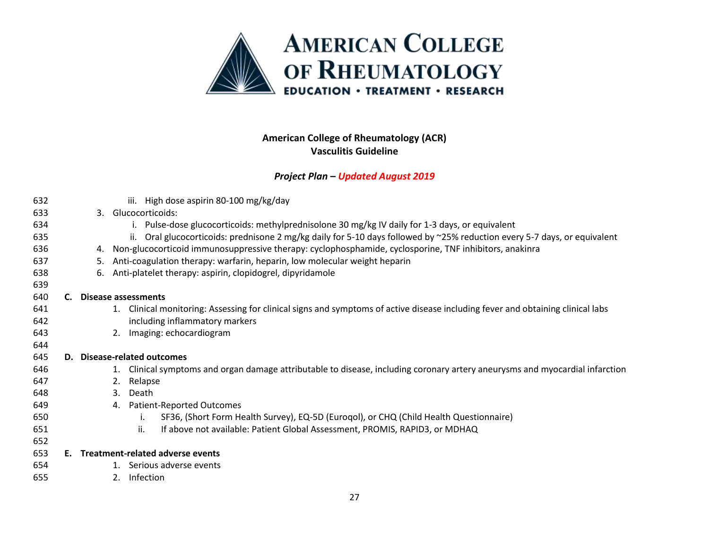

| 632 |     |    | iii. High dose aspirin 80-100 mg/kg/day                                                                                         |
|-----|-----|----|---------------------------------------------------------------------------------------------------------------------------------|
| 633 |     |    | 3. Glucocorticoids:                                                                                                             |
| 634 |     |    | Pulse-dose glucocorticoids: methylprednisolone 30 mg/kg IV daily for 1-3 days, or equivalent                                    |
| 635 |     |    | Oral glucocorticoids: prednisone 2 mg/kg daily for 5-10 days followed by ~25% reduction every 5-7 days, or equivalent<br>ii.    |
| 636 |     |    | 4. Non-glucocorticoid immunosuppressive therapy: cyclophosphamide, cyclosporine, TNF inhibitors, anakinra                       |
| 637 |     | 5. | Anti-coagulation therapy: warfarin, heparin, low molecular weight heparin                                                       |
| 638 |     | 6. | Anti-platelet therapy: aspirin, clopidogrel, dipyridamole                                                                       |
| 639 |     |    |                                                                                                                                 |
| 640 |     |    | Disease assessments                                                                                                             |
| 641 |     |    | 1. Clinical monitoring: Assessing for clinical signs and symptoms of active disease including fever and obtaining clinical labs |
| 642 |     |    | including inflammatory markers                                                                                                  |
| 643 |     |    | Imaging: echocardiogram<br>2.                                                                                                   |
| 644 |     |    |                                                                                                                                 |
| 645 | D.  |    | <b>Disease-related outcomes</b>                                                                                                 |
| 646 |     |    | 1. Clinical symptoms and organ damage attributable to disease, including coronary artery aneurysms and myocardial infarction    |
| 647 |     |    | Relapse<br>2.                                                                                                                   |
| 648 |     |    | Death<br>3.                                                                                                                     |
| 649 |     |    | <b>Patient-Reported Outcomes</b><br>4.                                                                                          |
| 650 |     |    | SF36, (Short Form Health Survey), EQ-5D (Eurogol), or CHQ (Child Health Questionnaire)<br>i.                                    |
| 651 |     |    | If above not available: Patient Global Assessment, PROMIS, RAPID3, or MDHAQ<br>ii.                                              |
| 652 |     |    |                                                                                                                                 |
| 653 | E., |    | Treatment-related adverse events                                                                                                |
| 654 |     |    | 1. Serious adverse events                                                                                                       |
| 655 |     |    | Infection<br>2.                                                                                                                 |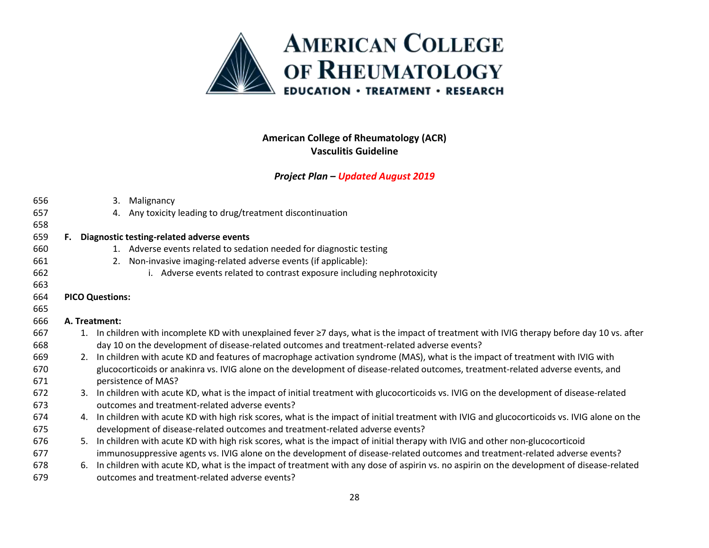

| 656 |                        | 3. Malignancy                                                                                                                                   |  |  |  |  |  |  |  |
|-----|------------------------|-------------------------------------------------------------------------------------------------------------------------------------------------|--|--|--|--|--|--|--|
| 657 |                        | Any toxicity leading to drug/treatment discontinuation<br>4.                                                                                    |  |  |  |  |  |  |  |
| 658 |                        |                                                                                                                                                 |  |  |  |  |  |  |  |
| 659 | F.                     | Diagnostic testing-related adverse events                                                                                                       |  |  |  |  |  |  |  |
| 660 |                        | 1. Adverse events related to sedation needed for diagnostic testing                                                                             |  |  |  |  |  |  |  |
| 661 |                        | 2. Non-invasive imaging-related adverse events (if applicable):                                                                                 |  |  |  |  |  |  |  |
| 662 |                        | i. Adverse events related to contrast exposure including nephrotoxicity                                                                         |  |  |  |  |  |  |  |
| 663 |                        |                                                                                                                                                 |  |  |  |  |  |  |  |
| 664 | <b>PICO Questions:</b> |                                                                                                                                                 |  |  |  |  |  |  |  |
| 665 |                        |                                                                                                                                                 |  |  |  |  |  |  |  |
| 666 |                        | A. Treatment:                                                                                                                                   |  |  |  |  |  |  |  |
| 667 |                        | 1. In children with incomplete KD with unexplained fever ≥7 days, what is the impact of treatment with IVIG therapy before day 10 vs. after     |  |  |  |  |  |  |  |
| 668 |                        | day 10 on the development of disease-related outcomes and treatment-related adverse events?                                                     |  |  |  |  |  |  |  |
| 669 |                        | 2. In children with acute KD and features of macrophage activation syndrome (MAS), what is the impact of treatment with IVIG with               |  |  |  |  |  |  |  |
| 670 |                        | glucocorticoids or anakinra vs. IVIG alone on the development of disease-related outcomes, treatment-related adverse events, and                |  |  |  |  |  |  |  |
| 671 |                        | persistence of MAS?                                                                                                                             |  |  |  |  |  |  |  |
| 672 |                        | 3. In children with acute KD, what is the impact of initial treatment with glucocorticoids vs. IVIG on the development of disease-related       |  |  |  |  |  |  |  |
| 673 |                        | outcomes and treatment-related adverse events?                                                                                                  |  |  |  |  |  |  |  |
| 674 |                        | 4. In children with acute KD with high risk scores, what is the impact of initial treatment with IVIG and glucocorticoids vs. IVIG alone on the |  |  |  |  |  |  |  |
| 675 |                        | development of disease-related outcomes and treatment-related adverse events?                                                                   |  |  |  |  |  |  |  |
| 676 |                        | 5. In children with acute KD with high risk scores, what is the impact of initial therapy with IVIG and other non-glucocorticoid                |  |  |  |  |  |  |  |
| 677 |                        | immunosuppressive agents vs. IVIG alone on the development of disease-related outcomes and treatment-related adverse events?                    |  |  |  |  |  |  |  |
| 678 | 6.                     | In children with acute KD, what is the impact of treatment with any dose of aspirin vs. no aspirin on the development of disease-related        |  |  |  |  |  |  |  |
| 679 |                        | outcomes and treatment-related adverse events?                                                                                                  |  |  |  |  |  |  |  |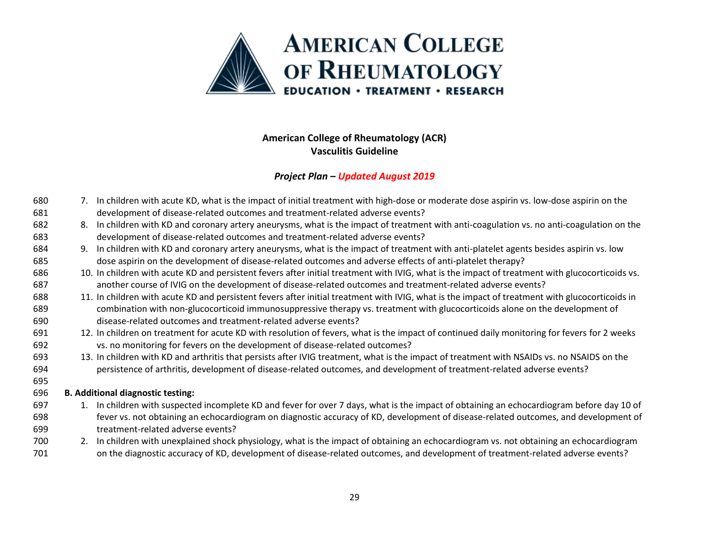

### *Project Plan – Updated August 2019*

- 7. In children with acute KD, what is the impact of initial treatment with high-dose or moderate dose aspirin vs. low-dose aspirin on the development of disease-related outcomes and treatment-related adverse events?
- 682 8. In children with KD and coronary artery aneurysms, what is the impact of treatment with anti-coagulation vs. no anti-coagulation on the development of disease-related outcomes and treatment-related adverse events?
- 9. In children with KD and coronary artery aneurysms, what is the impact of treatment with anti-platelet agents besides aspirin vs. low dose aspirin on the development of disease-related outcomes and adverse effects of anti-platelet therapy?
- 10. In children with acute KD and persistent fevers after initial treatment with IVIG, what is the impact of treatment with glucocorticoids vs. another course of IVIG on the development of disease-related outcomes and treatment-related adverse events?
- 11. In children with acute KD and persistent fevers after initial treatment with IVIG, what is the impact of treatment with glucocorticoids in combination with non-glucocorticoid immunosuppressive therapy vs. treatment with glucocorticoids alone on the development of disease-related outcomes and treatment-related adverse events?
- 12. In children on treatment for acute KD with resolution of fevers, what is the impact of continued daily monitoring for fevers for 2 weeks vs. no monitoring for fevers on the development of disease-related outcomes?
- 13. In children with KD and arthritis that persists after IVIG treatment, what is the impact of treatment with NSAIDs vs. no NSAIDS on the persistence of arthritis, development of disease-related outcomes, and development of treatment-related adverse events?

### **B. Additional diagnostic testing:**

- 1. In children with suspected incomplete KD and fever for over 7 days, what is the impact of obtaining an echocardiogram before day 10 of fever vs. not obtaining an echocardiogram on diagnostic accuracy of KD, development of disease-related outcomes, and development of treatment-related adverse events?
- 2. In children with unexplained shock physiology, what is the impact of obtaining an echocardiogram vs. not obtaining an echocardiogram 701 on the diagnostic accuracy of KD, development of disease-related outcomes, and development of treatment-related adverse events?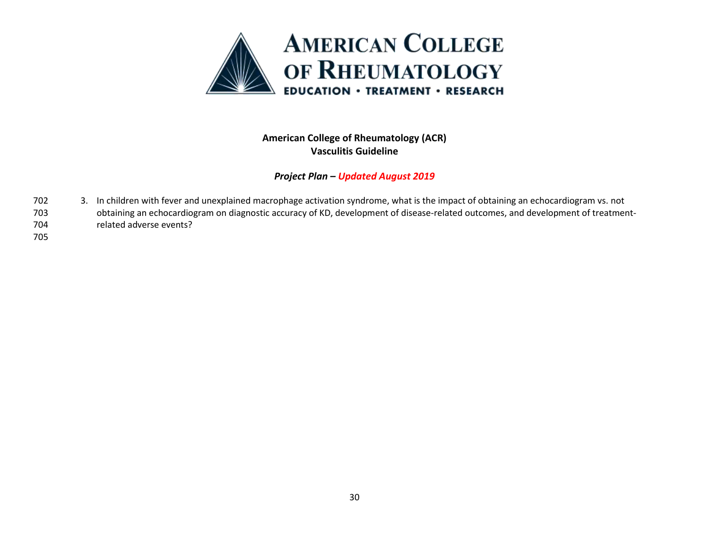

- 3. In children with fever and unexplained macrophage activation syndrome, what is the impact of obtaining an echocardiogram vs. not obtaining an echocardiogram on diagnostic accuracy of KD, development of disease-related outcomes, and development of treatment-related adverse events?
-